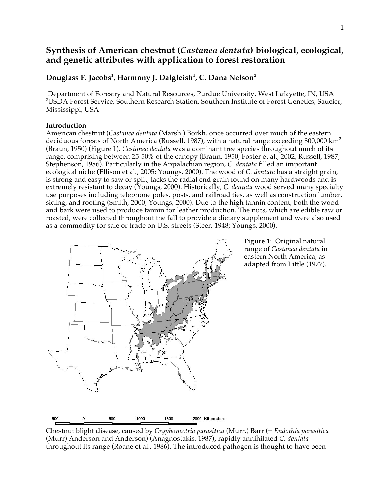# **Synthesis of American chestnut (***Castanea dentata***) biological, ecological, and genetic attributes with application to forest restoration**

# **Douglass F. Jacobs1 , Harmony J. Dalgleish<sup>1</sup> , C. Dana Nelson2**

<sup>1</sup>Department of Forestry and Natural Resources, Purdue University, West Lafayette, IN, USA 2 USDA Forest Service, Southern Research Station, Southern Institute of Forest Genetics, Saucier, Mississippi, USA

# **Introduction**

American chestnut (*Castanea dentata* (Marsh.) Borkh. once occurred over much of the eastern deciduous forests of North America (Russell, 1987), with a natural range exceeding 800,000 km<sup>2</sup> (Braun, 1950) (Figure 1). *Castanea dentata* was a dominant tree species throughout much of its range, comprising between 25-50% of the canopy (Braun, 1950; Foster et al., 2002; Russell, 1987; Stephenson, 1986). Particularly in the Appalachian region, *C. dentata* filled an important ecological niche (Ellison et al., 2005; Youngs, 2000). The wood of *C. dentata* has a straight grain, is strong and easy to saw or split, lacks the radial end grain found on many hardwoods and is extremely resistant to decay (Youngs, 2000). Historically, *C. dentata* wood served many specialty use purposes including telephone poles, posts, and railroad ties, as well as construction lumber, siding, and roofing (Smith, 2000; Youngs, 2000). Due to the high tannin content, both the wood and bark were used to produce tannin for leather production. The nuts, which are edible raw or roasted, were collected throughout the fall to provide a dietary supplement and were also used as a commodity for sale or trade on U.S. streets (Steer, 1948; Youngs, 2000).



**Figure 1**: Original natural range of *Castanea dentata* in eastern North America, as adapted from Little (1977).

Chestnut blight disease, caused by *Cryphonectria parasitica* (Murr.) Barr (= *Endothia parasitica* (Murr) Anderson and Anderson) (Anagnostakis, 1987), rapidly annihilated *C. dentata* throughout its range (Roane et al., 1986). The introduced pathogen is thought to have been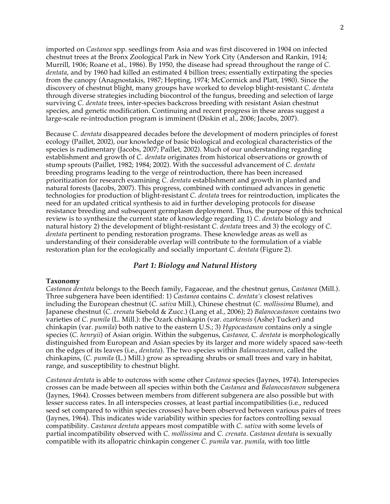imported on *Castanea* spp. seedlings from Asia and was first discovered in 1904 on infected chestnut trees at the Bronx Zoological Park in New York City (Anderson and Rankin, 1914; Murrill, 1906; Roane et al., 1986). By 1950, the disease had spread throughout the range of *C. dentata*, and by 1960 had killed an estimated 4 billion trees; essentially extirpating the species from the canopy (Anagnostakis, 1987; Hepting, 1974; McCormick and Platt, 1980). Since the discovery of chestnut blight, many groups have worked to develop blight-resistant *C. dentata* through diverse strategies including biocontrol of the fungus, breeding and selection of large surviving *C. dentata* trees, inter-species backcross breeding with resistant Asian chestnut species, and genetic modification. Continuing and recent progress in these areas suggest a large-scale re-introduction program is imminent (Diskin et al., 2006; Jacobs, 2007).

Because *C. dentata* disappeared decades before the development of modern principles of forest ecology (Paillet, 2002), our knowledge of basic biological and ecological characteristics of the species is rudimentary (Jacobs, 2007; Paillet, 2002). Much of our understanding regarding establishment and growth of *C. dentata* originates from historical observations or growth of stump sprouts (Paillet, 1982; 1984; 2002). With the successful advancement of *C. dentata*  breeding programs leading to the verge of reintroduction, there has been increased prioritization for research examining *C. dentata* establishment and growth in planted and natural forests (Jacobs, 2007). This progress, combined with continued advances in genetic technologies for production of blight-resistant *C. dentata* trees for reintroduction, implicates the need for an updated critical synthesis to aid in further developing protocols for disease resistance breeding and subsequent germplasm deployment. Thus, the purpose of this technical review is to synthesize the current state of knowledge regarding 1) *C. dentata* biology and natural history 2) the development of blight-resistant *C. dentata* trees and 3) the ecology of *C. dentata* pertinent to pending restoration programs. These knowledge areas as well as understanding of their considerable overlap will contribute to the formulation of a viable restoration plan for the ecologically and socially important *C. dentata* (Figure 2).

# *Part 1: Biology and Natural History*

### **Taxonomy**

*Castanea dentata* belongs to the Beech family, Fagaceae, and the chestnut genus, *Castanea* (Mill.). Three subgenera have been identified: 1) *Castanea* contains *C. dentata's* closest relatives including the European chestnut (*C. sativa* Mill.), Chinese chestnut (*C. mollissima* Blume), and Japanese chestnut (*C. crenata* Siebold & Zucc.) (Lang et al., 2006); 2) *Balanocastanon* contains two varieties of *C. pumila* (L. Mill.): the Ozark chinkapin (var. *ozarkensis* (Ashe) Tucker) and chinkapin (var. *pumila*) both native to the eastern U.S.; 3) *Hypocastanon* contains only a single species (*C. henryii*) of Asian origin. Within the subgenus, *Castanea, C. dentata* is morphologically distinguished from European and Asian species by its larger and more widely spaced saw-teeth on the edges of its leaves (i.e., *dentata*). The two species within *Balanocastanon*, called the chinkapins, (*C. pumila* (L.) Mill.) grow as spreading shrubs or small trees and vary in habitat, range, and susceptibility to chestnut blight.

*Castanea dentata* is able to outcross with some other *Castanea* species (Jaynes, 1974). Interspecies crosses can be made between all species within both the *Castanea* and *Balanocastanon* subgenera (Jaynes, 1964). Crosses between members from different subgenera are also possible but with lesser success rates. In all interspecies crosses, at least partial incompatibilities (i.e., reduced seed set compared to within species crosses) have been observed between various pairs of trees (Jaynes, 1964). This indicates wide variability within species for factors controlling sexual compatibility. *Castanea dentata* appears most compatible with *C. sativa* with some levels of partial incompatibility observed with *C. mollissima* and *C. crenata*. *Castanea dentata* is sexually compatible with its allopatric chinkapin congener *C. pumila* var. *pumila*, with too little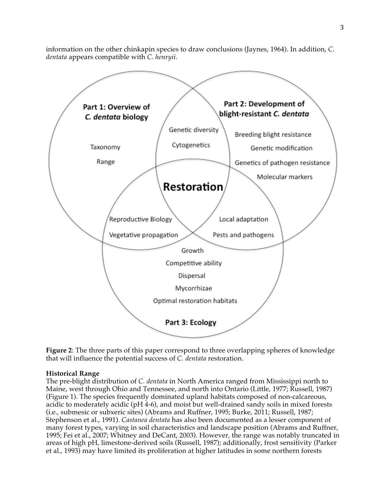information on the other chinkapin species to draw conclusions (Jaynes, 1964). In addition, *C. dentata* appears compatible with *C. henryii*.



**Figure 2**: The three parts of this paper correspond to three overlapping spheres of knowledge that will influence the potential success of *C. dentata* restoration.

# **Historical Range**

The pre-blight distribution of *C. dentata* in North America ranged from Mississippi north to Maine, west through Ohio and Tennessee, and north into Ontario (Little, 1977; Russell, 1987) (Figure 1). The species frequently dominated upland habitats composed of non-calcareous, acidic to moderately acidic (pH 4-6), and moist but well-drained sandy soils in mixed forests (i.e.*,* submesic or subxeric sites) (Abrams and Ruffner, 1995; Burke, 2011; Russell, 1987; Stephenson et al., 1991). *Castanea dentata* has also been documented as a lesser component of many forest types, varying in soil characteristics and landscape position (Abrams and Ruffner, 1995; Fei et al., 2007; Whitney and DeCant, 2003). However, the range was notably truncated in areas of high pH, limestone-derived soils (Russell, 1987); additionally, frost sensitivity (Parker et al., 1993) may have limited its proliferation at higher latitudes in some northern forests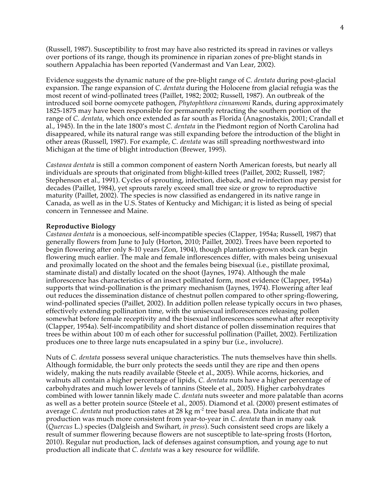(Russell, 1987). Susceptibility to frost may have also restricted its spread in ravines or valleys over portions of its range, though its prominence in riparian zones of pre-blight stands in southern Appalachia has been reported (Vandermast and Van Lear, 2002).

Evidence suggests the dynamic nature of the pre-blight range of *C. dentata* during post-glacial expansion. The range expansion of *C. dentata* during the Holocene from glacial refugia was the most recent of wind-pollinated trees (Paillet, 1982; 2002; Russell, 1987). An outbreak of the introduced soil borne oomycete pathogen, *Phytophthora cinnamomi* Rands, during approximately 1825-1875 may have been responsible for permanently retracting the southern portion of the range of *C. dentata*, which once extended as far south as Florida (Anagnostakis, 2001; Crandall et al., 1945). In the in the late 1800's most *C. dentata* in the Piedmont region of North Carolina had disappeared, while its natural range was still expanding before the introduction of the blight in other areas (Russell, 1987). For example, *C. dentata* was still spreading northwestward into Michigan at the time of blight introduction (Brewer, 1995).

*Castanea dentata* is still a common component of eastern North American forests, but nearly all individuals are sprouts that originated from blight-killed trees (Paillet, 2002; Russell, 1987; Stephenson et al., 1991). Cycles of sprouting, infection, dieback, and re-infection may persist for decades (Paillet, 1984), yet sprouts rarely exceed small tree size or grow to reproductive maturity (Paillet, 2002). The species is now classified as endangered in its native range in Canada, as well as in the U.S. States of Kentucky and Michigan; it is listed as being of special concern in Tennessee and Maine.

### **Reproductive Biology**

*Castanea dentata* is a monoecious, self-incompatible species (Clapper, 1954a; Russell, 1987) that generally flowers from June to July (Horton, 2010; Paillet, 2002). Trees have been reported to begin flowering after only 8-10 years (Zon, 1904), though plantation-grown stock can begin flowering much earlier. The male and female inflorescences differ, with males being unisexual and proximally located on the shoot and the females being bisexual (i.e., pistillate proximal, staminate distal) and distally located on the shoot (Jaynes, 1974). Although the male inflorescence has characteristics of an insect pollinated form, most evidence (Clapper, 1954a) supports that wind-pollination is the primary mechanism (Jaynes, 1974). Flowering after leaf out reduces the dissemination distance of chestnut pollen compared to other spring-flowering, wind-pollinated species (Paillet, 2002). In addition pollen release typically occurs in two phases, effectively extending pollination time, with the unisexual inflorescences releasing pollen somewhat before female receptivity and the bisexual inflorescences somewhat after receptivity (Clapper, 1954a). Self-incompatibility and short distance of pollen dissemination requires that trees be within about 100 m of each other for successful pollination (Paillet, 2002). Fertilization produces one to three large nuts encapsulated in a spiny bur (i.e., involucre).

Nuts of *C. dentata* possess several unique characteristics. The nuts themselves have thin shells. Although formidable, the burr only protects the seeds until they are ripe and then opens widely, making the nuts readily available (Steele et al., 2005). While acorns, hickories, and walnuts all contain a higher percentage of lipids, *C. dentata* nuts have a higher percentage of carbohydrates and much lower levels of tannins (Steele et al., 2005). Higher carbohydrates combined with lower tannin likely made *C. dentata* nuts sweeter and more palatable than acorns as well as a better protein source (Steele et al., 2005). Diamond et al. (2000) present estimates of average *C. dentata* nut production rates at 28 kg m<sup>-2</sup> tree basal area. Data indicate that nut production was much more consistent from year-to-year in *C. dentata* than in many oak (*Quercus* L.) species (Dalgleish and Swihart, *in press*). Such consistent seed crops are likely a result of summer flowering because flowers are not susceptible to late-spring frosts (Horton, 2010). Regular nut production, lack of defenses against consumption, and young age to nut production all indicate that *C. dentata* was a key resource for wildlife.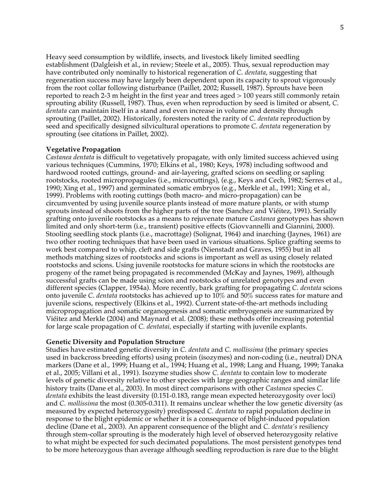Heavy seed consumption by wildlife, insects, and livestock likely limited seedling establishment (Dalgleish et al., in review; Steele et al., 2005). Thus, sexual reproduction may have contributed only nominally to historical regeneration of *C. dentata*, suggesting that regeneration success may have largely been dependent upon its capacity to sprout vigorously from the root collar following disturbance (Paillet, 2002; Russell, 1987). Sprouts have been reported to reach 2-3 m height in the first year and trees aged > 100 years still commonly retain sprouting ability (Russell, 1987). Thus, even when reproduction by seed is limited or absent, *C. dentata* can maintain itself in a stand and even increase in volume and density through sprouting (Paillet, 2002). Historically, foresters noted the rarity of *C. dentata* reproduction by seed and specifically designed silvicultural operations to promote *C. dentata* regeneration by sprouting (see citations in Paillet, 2002).

### **Vegetative Propagation**

*Castanea dentata* is difficult to vegetatively propagate, with only limited success achieved using various techniques (Cummins, 1970; Elkins et al., 1980; Keys, 1978) including softwood and hardwood rooted cuttings, ground- and air-layering, grafted scions on seedling or sapling rootstocks, rooted micropropagules (i.e., microcuttings), (e.g., Keys and Cech, 1982; Serres et al., 1990; Xing et al., 1997) and germinated somatic embryos (e.g., Merkle et al., 1991; Xing et al., 1999). Problems with rooting cuttings (both macro- and micro-propagation) can be circumvented by using juvenile source plants instead of more mature plants, or with stump sprouts instead of shoots from the higher parts of the tree (Sanchez and Viéitez, 1991). Serially grafting onto juvenile rootstocks as a means to rejuvenate mature *Castanea* genotypes has shown limited and only short-term (i.e., transient) positive effects (Giovvannelli and Giannini, 2000). Stooling seedling stock plants (i.e., macrottage) (Solignat, 1964) and inarching (Jaynes, 1961) are two other rooting techniques that have been used in various situations. Splice grafting seems to work best compared to whip, cleft and side grafts (Nienstadt and Graves, 1955) but in all methods matching sizes of rootstocks and scions is important as well as using closely related rootstocks and scions. Using juvenile rootstocks for mature scions in which the rootstocks are progeny of the ramet being propagated is recommended (McKay and Jaynes, 1969), although successful grafts can be made using scion and rootstocks of unrelated genotypes and even different species (Clapper, 1954a). More recently, bark grafting for propagating *C. dentata* scions onto juvenile *C. dentata* rootstocks has achieved up to 10% and 50% success rates for mature and juvenile scions, respectively (Elkins et al., 1992). Current state-of-the-art methods including micropropagation and somatic organogenesis and somatic embryogeneis are summarized by Viéitez and Merkle (2004) and Maynard et al. (2008); these methods offer increasing potential for large scale propagation of *C. dentatai,* especially if starting with juvenile explants.

#### **Genetic Diversity and Population Structure**

Studies have estimated genetic diversity in *C. dentata* and *C. mollissima* (the primary species used in backcross breeding efforts) using protein (isozymes) and non-coding (i.e., neutral) DNA markers (Dane et al., 1999; Huang et al., 1994; Huang et al., 1998; Lang and Huang, 1999; Tanaka et al., 2005; Villani et al., 1991). Isozyme studies show *C. dentata* to contain low to moderate levels of genetic diversity relative to other species with large geographic ranges and similar life history traits (Dane et al., 2003). In most direct comparisons with other *Castanea* species *C. dentata* exhibits the least diversity (0.151-0.183, range mean expected heterozygosity over loci) and *C. mollissima* the most (0.305-0.311). It remains unclear whether the low genetic diversity (as measured by expected heterozygosity) predisposed *C. dentata* to rapid population decline in response to the blight epidemic or whether it is a consequence of blight-induced population decline (Dane et al., 2003). An apparent consequence of the blight and *C. dentata's* resiliency through stem-collar sprouting is the moderately high level of observed heterozygosity relative to what might be expected for such decimated populations. The most persistent genotypes tend to be more heterozygous than average although seedling reproduction is rare due to the blight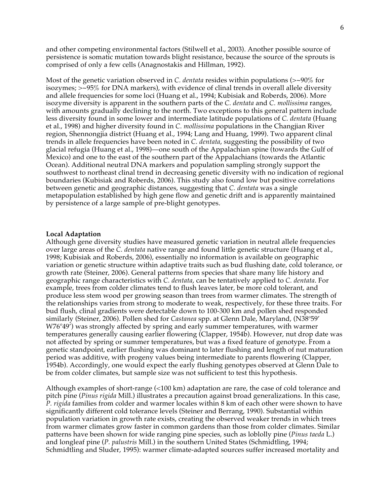and other competing environmental factors (Stilwell et al., 2003). Another possible source of persistence is somatic mutation towards blight resistance, because the source of the sprouts is comprised of only a few cells (Anagnostakis and Hillman, 1992).

Most of the genetic variation observed in *C. dentata* resides within populations (>~90% for isozymes; >~95% for DNA markers), with evidence of clinal trends in overall allele diversity and allele frequencies for some loci (Huang et al., 1994; Kubisiak and Roberds, 2006). More isozyme diversity is apparent in the southern parts of the *C. dentata* and *C. mollissima* ranges, with amounts gradually declining to the north. Two exceptions to this general pattern include less diversity found in some lower and intermediate latitude populations of *C. dentata* (Huang et al., 1998) and higher diversity found in *C. mollissima* populations in the Changjian River region, Shennongjia district (Huang et al., 1994; Lang and Huang, 1999). Two apparent clinal trends in allele frequencies have been noted in *C. dentata*, suggesting the possibility of two glacial refugia (Huang et al., 1998)—one south of the Appalachian spine (towards the Gulf of Mexico) and one to the east of the southern part of the Appalachians (towards the Atlantic Ocean). Additional neutral DNA markers and population sampling strongly support the southwest to northeast clinal trend in decreasing genetic diversity with no indication of regional boundaries (Kubisiak and Roberds, 2006). This study also found low but positive correlations between genetic and geographic distances, suggesting that *C. dentata* was a single metapopulation established by high gene flow and genetic drift and is apparently maintained by persistence of a large sample of pre-blight genotypes.

#### **Local Adaptation**

Although gene diversity studies have measured genetic variation in neutral allele frequencies over large areas of the *C. dentata* native range and found little genetic structure (Huang et al., 1998; Kubisiak and Roberds, 2006), essentially no information is available on geographic variation or genetic structure within adaptive traits such as bud flushing date, cold tolerance, or growth rate (Steiner, 2006). General patterns from species that share many life history and geographic range characteristics with *C. dentata*, can be tentatively applied to *C. dentata*. For example, trees from colder climates tend to flush leaves later, be more cold tolerant, and produce less stem wood per growing season than trees from warmer climates. The strength of the relationships varies from strong to moderate to weak, respectively, for these three traits. For bud flush, clinal gradients were detectable down to 100-300 km and pollen shed responded similarly (Steiner, 2006). Pollen shed for *Castanea* spp. at Glenn Dale, Maryland, (N38°59'  $W76°49'$ ) was strongly affected by spring and early summer temperatures, with warmer temperatures generally causing earlier flowering (Clapper, 1954b). However, nut drop date was not affected by spring or summer temperatures, but was a fixed feature of genotype. From a genetic standpoint, earlier flushing was dominant to later flushing and length of nut maturation period was additive, with progeny values being intermediate to parents flowering (Clapper, 1954b). Accordingly, one would expect the early flushing genotypes observed at Glenn Dale to be from colder climates, but sample size was not sufficient to test this hypothesis.

Although examples of short-range (<100 km) adaptation are rare, the case of cold tolerance and pitch pine (*Pinus rigida* Mill.) illustrates a precaution against broad generalizations. In this case, *P. rigida* families from colder and warmer locales within 8 km of each other were shown to have significantly different cold tolerance levels (Steiner and Berrang, 1990). Substantial within population variation in growth rate exists, creating the observed weaker trends in which trees from warmer climates grow faster in common gardens than those from colder climates. Similar patterns have been shown for wide ranging pine species, such as loblolly pine (*Pinus taeda* L.) and longleaf pine (*P. palustris* Mill.) in the southern United States (Schmidtling, 1994; Schmidtling and Sluder, 1995): warmer climate-adapted sources suffer increased mortality and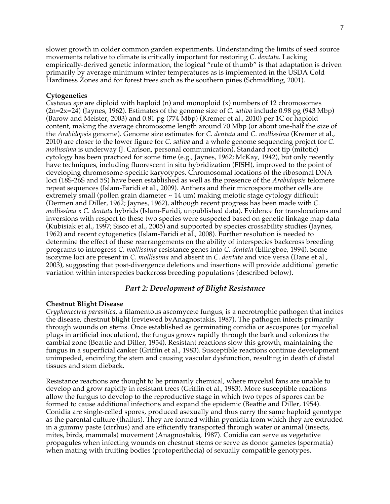slower growth in colder common garden experiments. Understanding the limits of seed source movements relative to climate is critically important for restoring *C. dentata*. Lacking empirically-derived genetic information, the logical "rule of thumb" is that adaptation is driven primarily by average minimum winter temperatures as is implemented in the USDA Cold Hardiness Zones and for forest trees such as the southern pines (Schmidtling, 2001).

### **Cytogenetics**

*Castanea spp* are diploid with haploid (n) and monoploid (x) numbers of 12 chromosomes (2n=2x=24) (Jaynes, 1962). Estimates of the genome size of *C. sativa* include 0.98 pg (943 Mbp) (Barow and Meister, 2003) and 0.81 pg (774 Mbp) (Kremer et al., 2010) per 1C or haploid content, making the average chromosome length around 70 Mbp (or about one-half the size of the *Arabidopsis* genome). Genome size estimates for *C. dentata* and *C. mollissima* (Kremer et al., 2010) are closer to the lower figure for *C. sativa* and a whole genome sequencing project for *C. mollissima* is underway (J. Carlson, personal communication). Standard root tip (mitotic) cytology has been practiced for some time (e.g., Jaynes, 1962; McKay, 1942), but only recently have techniques, including fluorescent in situ hybridization (FISH), improved to the point of developing chromosome-specific karyotypes. Chromosomal locations of the ribosomal DNA loci (18S-26S and 5S) have been established as well as the presence of the *Arabidopsis* telomere repeat sequences (Islam-Faridi et al., 2009). Anthers and their microspore mother cells are extremely small (pollen grain diameter  $\sim$  14 um) making meiotic stage cytology difficult (Dermen and Diller, 1962; Jaynes, 1962), although recent progress has been made with *C. mollissima* x *C. dentata* hybrids (Islam-Faridi, unpublished data). Evidence for translocations and inversions with respect to these two species were suspected based on genetic linkage map data (Kubisiak et al., 1997; Sisco et al., 2005) and supported by species crossability studies (Jaynes, 1962) and recent cytogenetics (Islam-Faridi et al., 2008). Further resolution is needed to determine the effect of these rearrangements on the ability of interspecies backcross breeding programs to introgress *C. mollissima* resistance genes into *C. dentata* (Ellingboe, 1994). Some isozyme loci are present in *C. mollissima* and absent in *C. dentata* and vice versa (Dane et al., 2003), suggesting that post-divergence deletions and insertions will provide additional genetic variation within interspecies backcross breeding populations (described below).

# *Part 2: Development of Blight Resistance*

### **Chestnut Blight Disease**

*Cryphonectria parasitica*, a filamentous ascomycete fungus, is a necrotrophic pathogen that incites the disease, chestnut blight (reviewed byAnagnostakis, 1987). The pathogen infects primarily through wounds on stems. Once established as germinating conidia or ascospores (or mycelial plugs in artificial inoculation), the fungus grows rapidly through the bark and colonizes the cambial zone (Beattie and Diller, 1954). Resistant reactions slow this growth, maintaining the fungus in a superficial canker (Griffin et al., 1983). Susceptible reactions continue development unimpeded, encircling the stem and causing vascular dysfunction, resulting in death of distal tissues and stem dieback.

Resistance reactions are thought to be primarily chemical, where mycelial fans are unable to develop and grow rapidly in resistant trees (Griffin et al., 1983). More susceptible reactions allow the fungus to develop to the reproductive stage in which two types of spores can be formed to cause additional infections and expand the epidemic (Beattie and Diller, 1954). Conidia are single-celled spores, produced asexually and thus carry the same haploid genotype as the parental culture (thallus). They are formed within pycnidia from which they are extruded in a gummy paste (cirrhus) and are efficiently transported through water or animal (insects, mites, birds, mammals) movement (Anagnostakis, 1987). Conidia can serve as vegetative propagules when infecting wounds on chestnut stems or serve as donor gametes (spermatia) when mating with fruiting bodies (protoperithecia) of sexually compatible genotypes.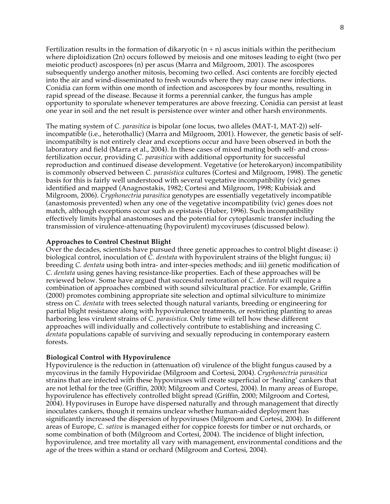Fertilization results in the formation of dikaryotic  $(n + n)$  ascus initials within the perithecium where diploidization (2n) occurs followed by meiosis and one mitoses leading to eight (two per meiotic product) ascospores (n) per ascus (Marra and Milgroom, 2001). The ascospores subsequently undergo another mitosis, becoming two celled. Asci contents are forcibly ejected into the air and wind-disseminated to fresh wounds where they may cause new infections. Conidia can form within one month of infection and ascospores by four months, resulting in rapid spread of the disease. Because it forms a perennial canker, the fungus has ample opportunity to sporulate whenever temperatures are above freezing. Conidia can persist at least one year in soil and the net result is persistence over winter and other harsh environments.

The mating system of *C. parasitica* is bipolar (one locus, two alleles (MAT-1, MAT-2)) selfincompatible (i.e., heterothallic) (Marra and Milgroom, 2001). However, the genetic basis of selfincompatibilty is not entirely clear and exceptions occur and have been observed in both the laboratory and field (Marra et al., 2004). In these cases of mixed mating both self- and crossfertilization occur, providing *C. parasitica* with additional opportunity for successful reproduction and continued disease development. Vegetative (or heterokaryon) incompatibility is commonly observed between *C. parasistica* cultures (Cortesi and Milgroom, 1998). The genetic basis for this is fairly well understood with several vegetative incompatibility (vic) genes identified and mapped (Anagnostakis, 1982; Cortesi and Milgroom, 1998; Kubisiak and Milgroom, 2006). *Cryphonectria parasitica* genotypes are essentially vegetatively incompatible (anastomosis prevented) when any one of the vegetative incompatibility (vic) genes does not match, although exceptions occur such as epistasis (Huber, 1996). Such incompatibility effectively limits hyphal anastomoses and the potential for cytoplasmic transfer including the transmission of virulence-attenuating (hypovirulent) mycoviruses (discussed below).

### **Approaches to Control Chestnut Blight**

Over the decades, scientists have pursued three genetic approaches to control blight disease: i) biological control, inoculation of *C. dentata* with hypovirulent strains of the blight fungus; ii) breeding *C. dentata* using both intra- and inter-species methods; and iii) genetic modification of *C. dentata* using genes having resistance-like properties. Each of these approaches will be reviewed below. Some have argued that successful restoration of *C. dentata* will require a combination of approaches combined with sound silvicultural practice. For example, Griffin (2000) promotes combining appropriate site selection and optimal silviculture to minimize stress on *C. dentata* with trees selected though natural variants, breeding or engineering for partial blight resistance along with hypovirulence treatments, or restricting planting to areas harboring less virulent strains of *C. parasistica*. Only time will tell how these different approaches will individually and collectively contribute to establishing and increasing *C. dentata* populations capable of surviving and sexually reproducing in contemporary eastern forests.

#### **Biological Control with Hypovirulence**

Hypovirulence is the reduction in (attenuation of) virulence of the blight fungus caused by a mycovirus in the family Hypoviridae (Milgroom and Cortesi, 2004). *Cryphonectria parasitica* strains that are infected with these hypoviruses will create superficial or 'healing' cankers that are not lethal for the tree (Griffin, 2000; Milgroom and Cortesi, 2004). In many areas of Europe, hypovirulence has effectively controlled blight spread (Griffin, 2000; Milgroom and Cortesi, 2004). Hypoviruses in Europe have dispersed naturally and through management that directly inoculates cankers, though it remains unclear whether human-aided deployment has significantly increased the dispersion of hypoviruses (Milgroom and Cortesi, 2004). In different areas of Europe, *C. sativa* is managed either for coppice forests for timber or nut orchards, or some combination of both (Milgroom and Cortesi, 2004). The incidence of blight infection, hypovirulence, and tree mortality all vary with management, environmental conditions and the age of the trees within a stand or orchard (Milgroom and Cortesi, 2004).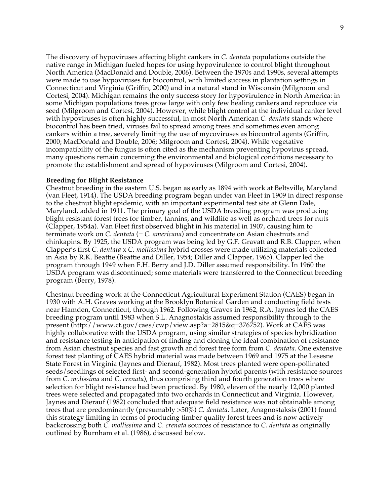The discovery of hypoviruses affecting blight cankers in *C. dentata* populations outside the native range in Michigan fueled hopes for using hypovirulence to control blight throughout North America (MacDonald and Double, 2006). Between the 1970s and 1990s, several attempts were made to use hypoviruses for biocontrol, with limited success in plantation settings in Connecticut and Virginia (Griffin, 2000) and in a natural stand in Wisconsin (Milgroom and Cortesi, 2004). Michigan remains the only success story for hypovirulence in North America: in some Michigan populations trees grow large with only few healing cankers and reproduce via seed (Milgroom and Cortesi, 2004). However, while blight control at the individual canker level with hypoviruses is often highly successful, in most North American *C. dentata* stands where biocontrol has been tried, viruses fail to spread among trees and sometimes even among cankers within a tree, severely limiting the use of mycoviruses as biocontrol agents (Griffin, 2000; MacDonald and Double, 2006; Milgroom and Cortesi, 2004). While vegetative incompatibility of the fungus is often cited as the mechanism preventing hypovirus spread, many questions remain concerning the environmental and biological conditions necessary to promote the establishment and spread of hypoviruses (Milgroom and Cortesi, 2004).

### **Breeding for Blight Resistance**

Chestnut breeding in the eastern U.S. began as early as 1894 with work at Beltsville, Maryland (van Fleet, 1914). The USDA breeding program began under van Fleet in 1909 in direct response to the chestnut blight epidemic, with an important experimental test site at Glenn Dale, Maryland, added in 1911. The primary goal of the USDA breeding program was producing blight resistant forest trees for timber, tannins, and wildlife as well as orchard trees for nuts (Clapper, 1954a). Van Fleet first observed blight in his material in 1907, causing him to terminate work on *C. dentata* (= *C. americana*) and concentrate on Asian chestnuts and chinkapins. By 1925, the USDA program was being led by G.F. Gravatt and R.B. Clapper, when Clapper's first *C. dentata* x *C. mollissima* hybrid crosses were made utilizing materials collected in Asia by R.K. Beattie (Beattie and Diller, 1954; Diller and Clapper, 1965). Clapper led the program through 1949 when F.H. Berry and J.D. Diller assumed responsibility. In 1960 the USDA program was discontinued; some materials were transferred to the Connecticut breeding program (Berry, 1978).

Chestnut breeding work at the Connecticut Agricultural Experiment Station (CAES) began in 1930 with A.H. Graves working at the Brooklyn Botanical Garden and conducting field tests near Hamden, Connecticut, through 1962. Following Graves in 1962, R.A. Jaynes led the CAES breeding program until 1983 when S.L. Anagnostakis assumed responsibility through to the present (http://www.ct.gov/caes/cwp/view.asp?a=2815&q=376752). Work at CAES was highly collaborative with the USDA program, using similar strategies of species hybridization and resistance testing in anticipation of finding and cloning the ideal combination of resistance from Asian chestnut species and fast growth and forest tree form from *C. dentata*. One extensive forest test planting of CAES hybrid material was made between 1969 and 1975 at the Lesesne State Forest in Virginia (Jaynes and Dierauf, 1982). Most trees planted were open-pollinated seeds/seedlings of selected first- and second-generation hybrid parents (with resistance sources from *C. molissima* and *C. crenata*), thus comprising third and fourth generation trees where selection for blight resistance had been practiced. By 1980, eleven of the nearly 12,000 planted trees were selected and propagated into two orchards in Connecticut and Virginia. However, Jaynes and Dierauf (1982) concluded that adequate field resistance was not obtainable among trees that are predominantly (presumably >50%) *C. dentata*. Later, Anagnostaksis (2001) found this strategy limiting in terms of producing timber quality forest trees and is now actively backcrossing both *C. mollissima* and *C. crenata* sources of resistance to *C. dentata* as originally outlined by Burnham et al. (1986), discussed below.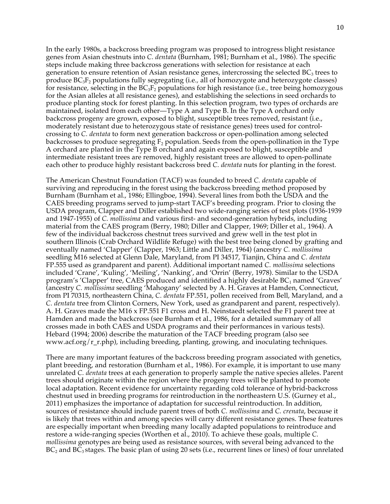In the early 1980s, a backcross breeding program was proposed to introgress blight resistance genes from Asian chestnuts into *C. dentata* (Burnham, 1981; Burnham et al., 1986). The specific steps include making three backcross generations with selection for resistance at each generation to ensure retention of Asian resistance genes, intercrossing the selected  $BC<sub>3</sub>$  trees to produce BC3F2 populations fully segregating (i.e.*,* all of homozygote and heterozygote classes) for resistance, selecting in the BC3F2 populations for high resistance (i.e.*,* tree being homozygous for the Asian alleles at all resistance genes), and establishing the selections in seed orchards to produce planting stock for forest planting. In this selection program, two types of orchards are maintained, isolated from each other—Type A and Type B. In the Type A orchard only backcross progeny are grown, exposed to blight, susceptible trees removed, resistant (i.e., moderately resistant due to heterozygous state of resistance genes) trees used for controlcrossing to *C. dentata* to form next generation backcross or open-pollination among selected backcrosses to produce segregating  $F_2$  population. Seeds from the open-pollination in the Type A orchard are planted in the Type B orchard and again exposed to blight, susceptible and intermediate resistant trees are removed, highly resistant trees are allowed to open-pollinate each other to produce highly resistant backcross bred *C. dentata* nuts for planting in the forest.

The American Chestnut Foundation (TACF) was founded to breed *C. dentata* capable of surviving and reproducing in the forest using the backcross breeding method proposed by Burnham (Burnham et al., 1986; Ellingboe, 1994). Several lines from both the USDA and the CAES breeding programs served to jump-start TACF's breeding program. Prior to closing the USDA program, Clapper and Diller established two wide-ranging series of test plots (1936-1939 and 1947-1955) of *C. mollissima* and various first- and second-generation hybrids, including material from the CAES program (Berry, 1980; Diller and Clapper, 1969; Diller et al., 1964). A few of the individual backcross chestnut trees survived and grew well in the test plot in southern Illinois (Crab Orchard Wildlife Refuge) with the best tree being cloned by grafting and eventually named 'Clapper' (Clapper, 1963; Little and Diller, 1964) (ancestry *C. mollissima*  seedling M16 selected at Glenn Dale, Maryland, from PI 34517, Tianjin, China and *C. dentata* FP.555 used as grandparent and parent). Additional important named *C. mollissima* selections included 'Crane', 'Kuling', 'Meiling', 'Nanking', and 'Orrin' (Berry, 1978). Similar to the USDA program's 'Clapper' tree, CAES produced and identified a highly desirable  $BC_1$  named 'Graves' (ancestry *C. mollissima* seedling 'Mahogany' selected by A. H. Graves at Hamden, Connecticut, from PI 70315, northeastern China, *C. dentata* FP.551, pollen received from Bell, Maryland, and a *C. dentata* tree from Clinton Corners, New York, used as grandparent and parent, respectively). A. H. Graves made the M16 x FP.551 F1 cross and H. Neinstaedt selected the F1 parent tree at Hamden and made the backcross (see Burnham et al., 1986, for a detailed summary of all crosses made in both CAES and USDA programs and their performances in various tests). Hebard (1994; 2006) describe the maturation of the TACF breeding program (also see www.acf.org/r\_r.php), including breeding, planting, growing, and inoculating techniques.

There are many important features of the backcross breeding program associated with genetics, plant breeding, and restoration (Burnham et al., 1986). For example, it is important to use many unrelated *C. dentata* trees at each generation to properly sample the native species alleles. Parent trees should originate within the region where the progeny trees will be planted to promote local adaptation. Recent evidence for uncertainty regarding cold tolerance of hybrid-backcross chestnut used in breeding programs for reintroduction in the northeastern U.S. (Gurney et al., 2011) emphasizes the importance of adaptation for successful reintroduction. In addition, sources of resistance should include parent trees of both *C. mollissima* and *C. crenata*, because it is likely that trees within and among species will carry different resistance genes. These features are especially important when breeding many locally adapted populations to reintroduce and restore a wide-ranging species (Worthen et al., 2010). To achieve these goals, multiple *C. mollissima* genotypes are being used as resistance sources, with several being advanced to the BC<sub>2</sub> and BC<sub>3</sub> stages. The basic plan of using 20 sets (i.e., recurrent lines or lines) of four unrelated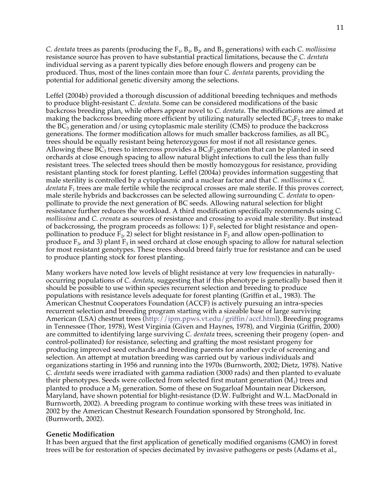*C. dentata* trees as parents (producing the F<sub>1</sub>, B<sub>1</sub>, B<sub>2</sub>, and B<sub>3</sub> generations) with each *C. mollissima* resistance source has proven to have substantial practical limitations, because the *C. dentata* individual serving as a parent typically dies before enough flowers and progeny can be produced. Thus, most of the lines contain more than four *C. dentata* parents, providing the potential for additional genetic diversity among the selections.

Leffel (2004b) provided a thorough discussion of additional breeding techniques and methods to produce blight-resistant *C. dentata*. Some can be considered modifications of the basic backcross breeding plan, while others appear novel to *C. dentata*. The modifications are aimed at making the backcross breeding more efficient by utilizing naturally selected  $BC_2F_2$  trees to make the  $BC_3$  generation and/or using cytoplasmic male sterility (CMS) to produce the backcross generations. The former modification allows for much smaller backcross families, as all  $BC<sub>3</sub>$ trees should be equally resistant being heterozygous for most if not all resistance genes. Allowing these  $BC_3$  trees to intercross provides a  $BC_3F_2$  generation that can be planted in seed orchards at close enough spacing to allow natural blight infections to cull the less than fully resistant trees. The selected trees should then be mostly homozygous for resistance, providing resistant planting stock for forest planting. Leffel (2004a) provides information suggesting that male sterility is controlled by a cytoplasmic and a nuclear factor and that *C. mollissima* x *C. dentata*  $F_1$  trees are male fertile while the reciprocal crosses are male sterile. If this proves correct, male sterile hybrids and backcrosses can be selected allowing surrounding *C. dentata* to openpollinate to provide the next generation of BC seeds. Allowing natural selection for blight resistance further reduces the workload. A third modification specifically recommends using *C. mollissima* and *C. crenata* as sources of resistance and crossing to avoid male sterility. But instead of backcrossing, the program proceeds as follows: 1)  $F_1$  selected for blight resistance and openpollination to produce  $\overline{F}_2$ , 2) select for blight resistance in  $F_2$  and allow open-pollination to produce  $F_3$ , and 3) plant  $F_3$  in seed orchard at close enough spacing to allow for natural selection for most resistant genotypes. These trees should breed fairly true for resistance and can be used to produce planting stock for forest planting.

Many workers have noted low levels of blight resistance at very low frequencies in naturallyoccurring populations of *C. dentata*, suggesting that if this phenotype is genetically based then it should be possible to use within species recurrent selection and breeding to produce populations with resistance levels adequate for forest planting (Griffin et al., 1983). The American Chestnut Cooperators Foundation (ACCF) is actively pursuing an intra-species recurrent selection and breeding program starting with a sizeable base of large surviving American (LSA) chestnut trees (http://ipm.ppws.vt.edu/griffin/accf.html). Breeding programs in Tennessee (Thor, 1978), West Virginia (Given and Haynes, 1978), and Virginia (Griffin, 2000) are committed to identifying large surviving *C. dentata* trees, screening their progeny (open- and control-pollinated) for resistance, selecting and grafting the most resistant progeny for producing improved seed orchards and breeding parents for another cycle of screening and selection. An attempt at mutation breeding was carried out by various individuals and organizations starting in 1956 and running into the 1970s (Burnworth, 2002; Dietz, 1978). Native *C. dentata* seeds were irradiated with gamma radiation (3000 rads) and then planted to evaluate their phenotypes. Seeds were collected from selected first mutant generation  $(M_1)$  trees and planted to produce a  $M_2$  generation. Some of these on Sugarloaf Mountain near Dickerson, Maryland, have shown potential for blight-resistance (D.W. Fulbright and W.L. MacDonald in Burnworth, 2002). A breeding program to continue working with these trees was initiated in 2002 by the American Chestnut Research Foundation sponsored by Stronghold, Inc. (Burnworth, 2002).

# **Genetic Modification**

It has been argued that the first application of genetically modified organisms (GMO) in forest trees will be for restoration of species decimated by invasive pathogens or pests (Adams et al.,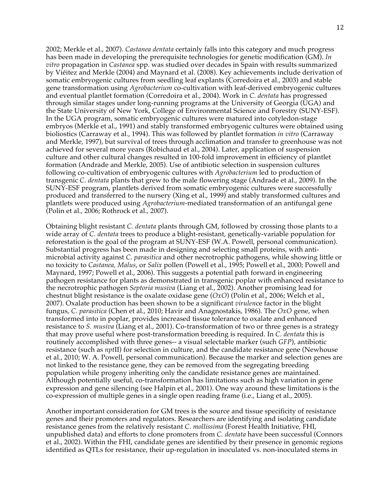2002; Merkle et al., 2007). *Castanea dentata* certainly falls into this category and much progress has been made in developing the prerequisite technologies for genetic modification (GM). *In vitro* propagation in *Castanea* spp. was studied over decades in Spain with results summarized by Viéitez and Merkle (2004) and Maynard et al. (2008). Key achievements include derivation of somatic embryogenic cultures from seedling leaf explants (Corredoira et al., 2003) and stable gene transformation using *Agrobacterium* co-cultivation with leaf-derived embryogenic cultures and eventual plantlet formation (Corredoira et al., 2004). Work in *C. dentata* has progressed through similar stages under long-running programs at the University of Georgia (UGA) and the State University of New York, College of Environmental Science and Forestry (SUNY-ESF). In the UGA program, somatic embryogenic cultures were matured into cotyledon-stage embryos (Merkle et al., 1991) and stably transformed embryogenic cultures were obtained using bioliostics (Carraway et al., 1994). This was followed by plantlet formation *in vitro* (Carraway and Merkle, 1997), but survival of trees through acclimation and transfer to greenhouse was not achieved for several more years (Robichaud et al., 2004). Later, application of suspension culture and other cultural changes resulted in 100-fold improvement in efficiency of plantlet formation (Andrade and Merkle, 2005). Use of antibiotic selection in suspension cultures following co-cultivation of embryogenic cultures with *Agrobacterium* led to production of transgenic *C. dentata* plants that grew to the male flowering stage (Andrade et al., 2009). In the SUNY-ESF program, plantlets derived from somatic embryogenic cultures were successfully produced and transferred to the nursery (Xing et al., 1999) and stably transformed cultures and plantlets were produced using *Agrobacterium*-mediated transformation of an antifungal gene (Polin et al., 2006; Rothrock et al., 2007).

Obtaining blight resistant *C. dentata* plants through GM, followed by crossing those plants to a wide array of *C. dentata* trees to produce a blight-resistant, genetically-variable population for reforestation is the goal of the program at SUNY-ESF (W.A. Powell, personal communication). Substantial progress has been made in designing and selecting small proteins, with antimicrobial activity against *C. parasitica* and other necrotrophic pathogens, while showing little or no toxicity to *Castanea, Malus*, or *Salix* pollen (Powell et al., 1995; Powell et al., 2000; Powell and Maynard, 1997; Powell et al., 2006). This suggests a potential path forward in engineering pathogen resistance for plants as demonstrated in transgenic poplar with enhanced resistance to the necrotrophic pathogen *Septoria musiva* (Liang et al., 2002). Another promising lead for chestnut blight resistance is the oxalate oxidase gene (*OxO*) (Polin et al., 2006; Welch et al., 2007). Oxalate production has been shown to be a significant *virulen*ce factor in the blight fungus, *C. parasitica* (Chen et al., 2010; Havir and Anagnostakis, 1986). The *OxO* gene, when transformed into in poplar, provides increased tissue tolerance to oxalate and enhanced resistance to *S. musiva* (Liang et al., 2001). Co-transformation of two or three genes is a strategy that may prove useful where post-transformation breeding is required. In *C. dentata* this is routinely accomplished with three genes-- a visual selectable marker (such *GFP*), antibiotic resistance (such as *npt*II) for selection in culture, and the candidate resistance gene (Newhouse et al., 2010; W. A. Powell, personal communication). Because the marker and selection genes are not linked to the resistance gene, they can be removed from the segregating breeding population while progeny inheriting only the candidate resistance genes are maintained. Although potentially useful, co-transformation has limitations such as high variation in gene expression and gene silencing (see Halpin et al., 2001). One way around these limitations is the co-expression of multiple genes in a single open reading frame (i.e., Liang et al., 2005).

Another important consideration for GM trees is the source and tissue specificity of resistance genes and their promoters and regulators. Researchers are identifying and isolating candidate resistance genes from the relatively resistant *C. mollissima* (Forest Health Initiative, FHI, unpublished data) and efforts to clone promoters from *C. dentata* have been successful (Connors et al., 2002). Within the FHI, candidate genes are identified by their presence in genomic regions identified as QTLs for resistance, their up-regulation in inoculated vs. non-inoculated stems in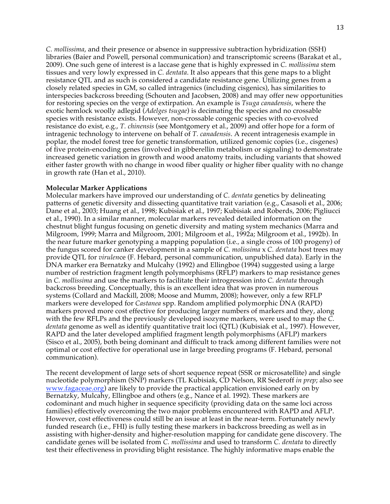*C. mollissima*, and their presence or absence in suppressive subtraction hybridization (SSH) libraries (Baier and Powell, personal communication) and transcriptomic screens (Barakat et al., 2009). One such gene of interest is a laccase gene that is highly expressed in *C. mollissima* stem tissues and very lowly expressed in *C. dentata*. It also appears that this gene maps to a blight resistance QTL and as such is considered a candidate resistance gene. Utilizing genes from a closely related species in GM, so called intragenics (including cisgenics), has similarities to interspecies backcross breeding (Schouten and Jacobsen, 2008) and may offer new opportunities for restoring species on the verge of extirpation. An example is *Tsuga canadensis*, where the exotic hemlock woolly adlegid (*Adelges tsugae*) is decimating the species and no crossable species with resistance exists. However, non-crossable congenic species with co-evolved resistance do exist, e.g., *T. chinensis* (see Montgomery et al., 2009) and offer hope for a form of intragenic technology to intervene on behalf of *T. canadensis*. A recent intragenesis example in poplar, the model forest tree for genetic transformation, utilized genomic copies (i.e.*,* cisgenes) of five protein-encoding genes (involved in gibberellin metabolism or signaling) to demonstrate increased genetic variation in growth and wood anatomy traits, including variants that showed either faster growth with no change in wood fiber quality or higher fiber quality with no change in growth rate (Han et al., 2010).

### **Molecular Marker Applications**

Molecular markers have improved our understanding of *C. dentata* genetics by delineating patterns of genetic diversity and dissecting quantitative trait variation (e.g., Casasoli et al., 2006; Dane et al., 2003; Huang et al., 1998; Kubisiak et al., 1997; Kubisiak and Roberds, 2006; Pigliucci et al., 1990). In a similar manner, molecular markers revealed detailed information on the chestnut blight fungus focusing on genetic diversity and mating system mechanics (Marra and Milgroom, 1999; Marra and Milgroom, 2001; Milgroom et al., 1992a; Milgroom et al., 1992b). In the near future marker genotyping a mapping population (i.e.*,* a single cross of 100 progeny) of the fungus scored for canker development in a sample of *C. molissima* x *C. dentata* host trees may provide QTL for *virulen*ce (F. Hebard, personal communication, unpublished data). Early in the DNA marker era Bernatzky and Mulcahy (1992) and Ellingboe (1994) suggested using a large number of restriction fragment length polymorphisms (RFLP) markers to map resistance genes in *C. mollissima* and use the markers to facilitate their introgression into *C. dentata* through backcross breeding. Conceptually, this is an excellent idea that was proven in numerous systems (Collard and Mackill, 2008; Moose and Mumm, 2008); however, only a few RFLP markers were developed for *Castanea* spp. Random amplified polymorphic DNA (RAPD) markers proved more cost effective for producing larger numbers of markers and they, along with the few RFLPs and the previously developed isozyme markers, were used to map the *C. dentata* genome as well as identify quantitative trait loci (QTL) (Kubisiak et al., 1997). However, RAPD and the later developed amplified fragment length polymorphisms (AFLP) markers (Sisco et al., 2005), both being dominant and difficult to track among different families were not optimal or cost effective for operational use in large breeding programs (F. Hebard, personal communication).

The recent development of large sets of short sequence repeat (SSR or microsatellite) and single nucleotide polymorphism (SNP) markers (TL Kubisiak, CD Nelson, RR Sederoff *in prep*; also see www.fagaceae.org) are likely to provide the practical application envisioned early on by Bernatzky, Mulcahy, Ellingboe and others (e.g., Nance et al. 1992). These markers are codominant and much higher in sequence specificity (providing data on the same loci across families) effectively overcoming the two major problems encountered with RAPD and AFLP. However, cost effectiveness could still be an issue at least in the near-term. Fortunately newly funded research (i.e., FHI) is fully testing these markers in backcross breeding as well as in assisting with higher-density and higher-resolution mapping for candidate gene discovery. The candidate genes will be isolated from *C. mollissima* and used to transform *C. dentata* to directly test their effectiveness in providing blight resistance. The highly informative maps enable the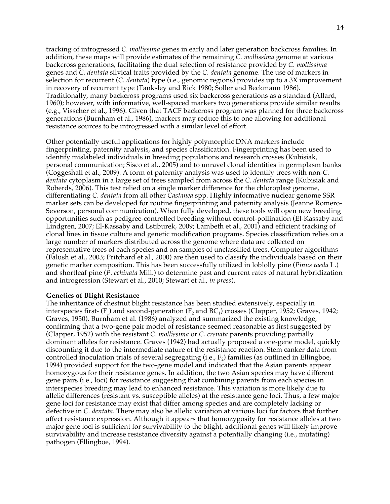tracking of introgressed *C. mollissima* genes in early and later generation backcross families. In addition, these maps will provide estimates of the remaining *C. mollissima* genome at various backcross generations, facilitating the dual selection of resistance provided by *C. mollissima* genes and *C. dentata* silvical traits provided by the *C. dentata* genome. The use of markers in selection for recurrent (*C. dentata*) type (i.e.*,* genomic regions) provides up to a 3X improvement in recovery of recurrent type (Tanksley and Rick 1980; Soller and Beckmann 1986). Traditionally, many backcross programs used six backcross generations as a standard (Allard, 1960); however, with informative, well-spaced markers two generations provide similar results (e.g., Visscher et al., 1996). Given that TACF backcross program was planned for three backcross generations (Burnham et al., 1986), markers may reduce this to one allowing for additional resistance sources to be introgressed with a similar level of effort.

Other potentially useful applications for highly polymorphic DNA markers include fingerprinting, paternity analysis, and species classification. Fingerprinting has been used to identify mislabeled individuals in breeding populations and research crosses (Kubisiak, personal communication; Sisco et al., 2005) and to unravel clonal identities in germplasm banks (Coggeshall et al., 2009). A form of paternity analysis was used to identify trees with non-*C. dentata* cytoplasm in a large set of trees sampled from across the *C. dentata* range (Kubisiak and Roberds, 2006). This test relied on a single marker difference for the chloroplast genome, differentiating *C. dentata* from all other *Castanea* spp. Highly informative nuclear genome SSR marker sets can be developed for routine fingerprinting and paternity analysis (Jeanne Romero-Severson, personal communication). When fully developed, these tools will open new breeding opportunities such as pedigree-controlled breeding without control-pollination (El-Kassaby and Lindgren, 2007; El-Kassaby and Lstiburek, 2009; Lambeth et al., 2001) and efficient tracking of clonal lines in tissue culture and genetic modification programs. Species classification relies on a large number of markers distributed across the genome where data are collected on representative trees of each species and on samples of unclassified trees. Computer algorithms (Falush et al., 2003; Pritchard et al., 2000) are then used to classify the individuals based on their genetic marker composition. This has been successfully utilized in loblolly pine (*Pinus taeda* L.) and shortleaf pine (*P. echinata* Mill.) to determine past and current rates of natural hybridization and introgression (Stewart et al., 2010; Stewart et al., *in press*).

# **Genetics of Blight Resistance**

The inheritance of chestnut blight resistance has been studied extensively, especially in interspecies first-  $(F_1)$  and second-generation  $(F_2$  and  $BC_1)$  crosses (Clapper, 1952; Graves, 1942; Graves, 1950). Burnham et al. (1986) analyzed and summarized the existing knowledge, confirming that a two-gene pair model of resistance seemed reasonable as first suggested by (Clapper, 1952) with the resistant *C. mollissima* or *C. crenata* parents providing partially dominant alleles for resistance. Graves (1942) had actually proposed a one-gene model, quickly discounting it due to the intermediate nature of the resistance reaction. Stem canker data from controlled inoculation trials of several segregating (i.e.,  $F_2$ ) families (as outlined in Ellingboe, 1994) provided support for the two-gene model and indicated that the Asian parents appear homozygous for their resistance genes. In addition, the two Asian species may have different gene pairs (i.e., loci) for resistance suggesting that combining parents from each species in interspecies breeding may lead to enhanced resistance. This variation is more likely due to allelic differences (resistant vs. susceptible alleles) at the resistance gene loci. Thus, a few major gene loci for resistance may exist that differ among species and are completely lacking or defective in *C. dentata*. There may also be allelic variation at various loci for factors that further affect resistance expression. Although it appears that homozygosity for resistance alleles at two major gene loci is sufficient for survivability to the blight, additional genes will likely improve survivability and increase resistance diversity against a potentially changing (i.e., mutating) pathogen (Ellingboe, 1994).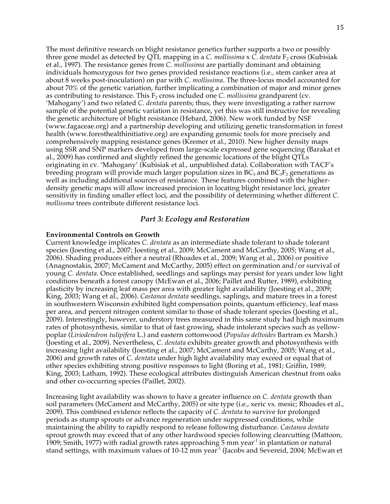The most definitive research on blight resistance genetics further supports a two or possibly three gene model as detected by QTL mapping in a *C. mollissima*  $\times$  *C. dentata*  $F_2$  cross (Kubisiak et al., 1997). The resistance genes from *C. mollissima* are partially dominant and obtaining individuals homozygous for two genes provided resistance reactions (i.e.*,* stem canker area at about 8 weeks post-inoculation) on par with *C. mollissima*. The three-locus model accounted for about 70% of the genetic variation, further implicating a combination of major and minor genes as contributing to resistance. This  $F_2$  cross included one *C. mollissima* grandparent (cv. 'Mahogany') and two related *C. dentata* parents; thus, they were investigating a rather narrow sample of the potential genetic variation in resistance, yet this was still instructive for revealing the genetic architecture of blight resistance (Hebard, 2006). New work funded by NSF (www.fagaceae.org) and a partnership developing and utilizing genetic transformation in forest health (www.foresthealthinitiative.org) are expanding genomic tools for more precisely and comprehensively mapping resistance genes (Kremer et al., 2010). New higher density maps using SSR and SNP markers developed from large-scale expressed gene sequencing (Barakat et al., 2009) has confirmed and slightly refined the genomic locations of the blight QTLs originating in cv. 'Mahogany' (Kubisiak et al., unpublished data). Collaboration with TACF's breeding program will provide much larger population sizes in  $BC_3$  and  $BC_3F_2$  generations as well as including additional sources of resistance. These features combined with the higherdensity genetic maps will allow increased precision in locating blight resistance loci, greater sensitivity in finding smaller effect loci, and the possibility of determining whether different *C. mollissma* trees contribute different resistance loci.

## *Part 3: Ecology and Restoration*

#### **Environmental Controls on Growth**

Current knowledge implicates *C. dentata* as an intermediate shade tolerant to shade tolerant species (Joesting et al., 2007; Joesting et al., 2009; McCament and McCarthy, 2005; Wang et al., 2006). Shading produces either a neutral (Rhoades et al., 2009; Wang et al., 2006) or positive (Anagnostakis, 2007; McCament and McCarthy, 2005) effect on germination and/or survival of young *C. dentata*. Once established, seedlings and saplings may persist for years under low light conditions beneath a forest canopy (McEwan et al., 2006; Paillet and Rutter, 1989), exhibiting plasticity by increasing leaf mass per area with greater light availability (Joesting et al., 2009; King, 2003; Wang et al., 2006). *Castanea dentata* seedlings, saplings, and mature trees in a forest in southwestern Wisconsin exhibited light compensation points, quantum efficiency, leaf mass per area, and percent nitrogen content similar to those of shade tolerant species (Joesting et al., 2009). Interestingly, however, understory trees measured in this same study had high maximum rates of photosynthesis, similar to that of fast growing, shade intolerant species such as yellowpoplar (*Liriodendron tulipifera* L.) and eastern cottonwood (*Populus deltoides* Bartram ex Marsh.) (Joesting et al., 2009). Nevertheless, *C. dentata* exhibits greater growth and photosynthesis with increasing light availability (Joesting et al., 2007; McCament and McCarthy, 2005; Wang et al., 2006) and growth rates of *C. dentata* under high light availability may exceed or equal that of other species exhibiting strong positive responses to light (Boring et al., 1981; Griffin, 1989; King, 2003; Latham, 1992). These ecological attributes distinguish American chestnut from oaks and other co-occurring species (Paillet, 2002).

Increasing light availability was shown to have a greater influence on *C. dentata* growth than soil parameters (McCament and McCarthy, 2005) or site type (i.e., xeric vs. mesic; Rhoades et al., 2009). This combined evidence reflects the capacity of *C. dentata* to survive for prolonged periods as stump sprouts or advance regeneration under suppressed conditions, while maintaining the ability to rapidly respond to release following disturbance. *Castanea dentata* sprout growth may exceed that of any other hardwood species following clearcutting (Mattoon, 1909; Smith, 1977) with radial growth rates approaching  $\bar{5}$  mm year<sup>-1</sup> in plantation or natural stand settings, with maximum values of 10-12 mm year<sup>-1</sup> (Jacobs and Severeid, 2004; McEwan et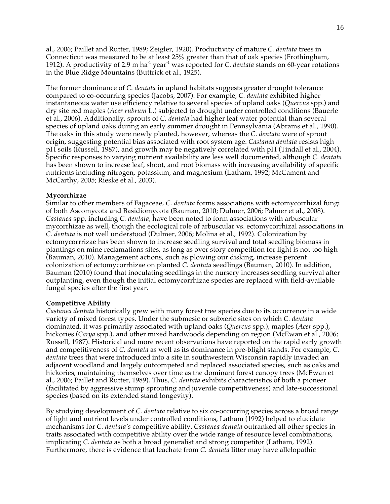al., 2006; Paillet and Rutter, 1989; Zeigler, 1920). Productivity of mature *C. dentata* trees in Connecticut was measured to be at least 25% greater than that of oak species (Frothingham, 1912). A productivity of 2.9 m ha-1 year-1 was reported for *C. dentata* stands on 60-year rotations in the Blue Ridge Mountains (Buttrick et al., 1925).

The former dominance of *C. dentata* in upland habitats suggests greater drought tolerance compared to co-occurring species (Jacobs, 2007). For example, *C. dentata* exhibited higher instantaneous water use efficiency relative to several species of upland oaks (*Quercus* spp.) and dry site red maples (*Acer rubrum* L.) subjected to drought under controlled conditions (Bauerle et al., 2006). Additionally, sprouts of *C. dentata* had higher leaf water potential than several species of upland oaks during an early summer drought in Pennsylvania (Abrams et al., 1990). The oaks in this study were newly planted, however, whereas the *C. dentata* were of sprout origin, suggesting potential bias associated with root system age. *Castanea dentata* resists high pH soils (Russell, 1987), and growth may be negatively correlated with pH (Tindall et al., 2004). Specific responses to varying nutrient availability are less well documented, although *C. dentata* has been shown to increase leaf, shoot, and root biomass with increasing availability of specific nutrients including nitrogen, potassium, and magnesium (Latham, 1992; McCament and McCarthy, 2005; Rieske et al., 2003).

### **Mycorrhizae**

Similar to other members of Fagaceae*, C. dentata* forms associations with ectomycorrhizal fungi of both Ascomycota and Basidiomycota (Bauman, 2010; Dulmer, 2006; Palmer et al., 2008). *Castanea* spp, including *C. dentata*, have been noted to form associations with arbuscular mycorrhizae as well, though the ecological role of arbuscular vs. ectomycorrhizal associations in *C. dentata* is not well understood (Dulmer, 2006; Molina et al., 1992). Colonization by ectomycorrrizae has been shown to increase seedling survival and total seedling biomass in plantings on mine reclamations sites, as long as over story competition for light is not too high (Bauman, 2010). Management actions, such as plowing our disking, increase percent colonization of ectomycorrhizae on planted *C. dentata* seedlings (Bauman, 2010). In addition, Bauman (2010) found that inoculating seedlings in the nursery increases seedling survival after outplanting, even though the initial ectomycorrhizae species are replaced with field-available fungal species after the first year.

### **Competitive Ability**

*Castanea dentata* historically grew with many forest tree species due to its occurrence in a wide variety of mixed forest types. Under the submesic or subxeric sites on which *C. dentata* dominated, it was primarily associated with upland oaks (*Quercus* spp.), maples (*Acer* spp.), hickories (*Carya* spp.), and other mixed hardwoods depending on region (McEwan et al., 2006; Russell, 1987). Historical and more recent observations have reported on the rapid early growth and competitiveness of *C. dentata* as well as its dominance in pre-blight stands. For example, *C. dentata* trees that were introduced into a site in southwestern Wisconsin rapidly invaded an adjacent woodland and largely outcompeted and replaced associated species, such as oaks and hickories, maintaining themselves over time as the dominant forest canopy trees (McEwan et al., 2006; Paillet and Rutter, 1989). Thus, *C. dentata* exhibits characteristics of both a pioneer (facilitated by aggressive stump sprouting and juvenile competitiveness) and late-successional species (based on its extended stand longevity).

By studying development of *C. dentata* relative to six co-occurring species across a broad range of light and nutrient levels under controlled conditions, Latham (1992) helped to elucidate mechanisms for *C. dentata's* competitive ability. *Castanea dentata* outranked all other species in traits associated with competitive ability over the wide range of resource level combinations, implicating *C. dentata* as both a broad generalist and strong competitor (Latham, 1992). Furthermore, there is evidence that leachate from *C. dentata* litter may have allelopathic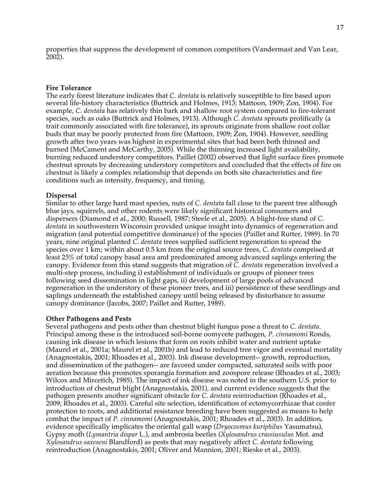properties that suppress the development of common competitors (Vandermast and Van Lear, 2002).

## **Fire Tolerance**

The early forest literature indicates that *C. dentata* is relatively susceptible to fire based upon several life-history characteristics (Buttrick and Holmes, 1913; Mattoon, 1909; Zon, 1904). For example, *C. dentata* has relatively thin bark and shallow root system compared to fire-tolerant species, such as oaks (Buttrick and Holmes, 1913). Although *C. dentata* sprouts prolifically (a trait commonly associated with fire tolerance), its sprouts originate from shallow root collar buds that may be poorly protected from fire (Mattoon, 1909; Zon, 1904). However, seedling growth after two years was highest in experimental sites that had been both thinned and burned (McCament and McCarthy, 2005). While the thinning increased light availability, burning reduced understory competitors. Paillet (2002) observed that light surface fires promote chestnut sprouts by decreasing understory competitors and concluded that the effects of fire on chestnut is likely a complex relationship that depends on both site characteristics and fire conditions such as intensity, frequency, and timing.

## **Dispersal**

Similar to other large hard mast species, nuts of *C. dentata* fall close to the parent tree although blue jays, squirrels, and other rodents were likely significant historical consumers and dispersers (Diamond et al., 2000; Russell, 1987; Steele et al., 2005). A blight-free stand of *C. dentata* in southwestern Wisconsin provided unique insight into dynamics of regeneration and migration (and potential competitive dominance) of the species (Paillet and Rutter, 1989). In 70 years, nine original planted *C. dentata* trees supplied sufficient regeneration to spread the species over 1 km; within about 0.5 km from the original source trees, *C. dentata* comprised at least 25% of total canopy basal area and predominated among advanced saplings entering the canopy. Evidence from this stand suggests that migration of *C. dentata* regeneration involved a multi-step process, including i) establishment of individuals or groups of pioneer trees following seed dissemination in light gaps, ii) development of large pools of advanced regeneration in the understory of these pioneer trees, and iii) persistence of these seedlings and saplings underneath the established canopy until being released by disturbance to assume canopy dominance (Jacobs, 2007; Paillet and Rutter, 1989).

### **Other Pathogens and Pests**

Several pathogens and pests other than chestnut blight fungus pose a threat to *C. dentata*. Principal among these is the introduced soil-borne oomycete pathogen, *P. cinnamomi* Ronds, causing ink disease in which lesions that form on roots inhibit water and nutrient uptake (Maurel et al., 2001a; Maurel et al., 2001b) and lead to reduced tree vigor and eventual mortality (Anagnostakis, 2001; Rhoades et al., 2003). Ink disease development-- growth, reproduction, and dissemination of the pathogen-- are favored under compacted, saturated soils with poor aeration because this promotes sporangia formation and zoospore release (Rhoades et al., 2003; Wilcox and Mircetich, 1985). The impact of ink disease was noted in the southern U.S. prior to introduction of chestnut blight (Anagnostakis, 2001), and current evidence suggests that the pathogen presents another significant obstacle for *C. dentata* reintroduction (Rhoades et al., 2009; Rhoades et al., 2003). Careful site selection, identification of ectomycorrhizae that confer protection to roots, and additional resistance breeding have been suggested as means to help combat the impact of *P. cinnamomi* (Anagnostakis, 2001; Rhoades et al., 2003). In addition, evidence specifically implicates the oriental gall wasp (*Dryocosmus kuriphilus* Yasumatsu), Gypsy moth (*Lymantria dispar* L.), and ambrosia beetles (*Xylosandrus crassiusulus* Mot. and *Xylosandrus saxeseni* Blandford) as pests that may negatively affect *C. dentata* following reintroduction (Anagnostakis, 2001; Oliver and Mannion, 2001; Rieske et al., 2003).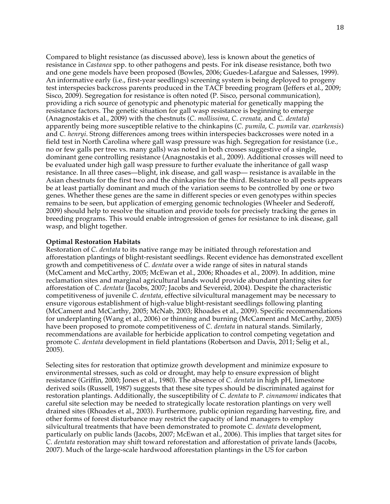Compared to blight resistance (as discussed above), less is known about the genetics of resistance in *Castanea* spp. to other pathogens and pests. For ink disease resistance, both two and one gene models have been proposed (Bowles, 2006; Guedes-Lafargue and Salesses, 1999). An informative early (i.e., first-year seedlings) screening system is being deployed to progeny test interspecies backcross parents produced in the TACF breeding program (Jeffers et al., 2009; Sisco, 2009). Segregation for resistance is often noted (P. Sisco, personal communication), providing a rich source of genotypic and phenotypic material for genetically mapping the resistance factors. The genetic situation for gall wasp resistance is beginning to emerge (Anagnostakis et al., 2009) with the chestnuts (*C. mollissima, C. crenata,* and *C. dentata*) apparently being more susceptible relative to the chinkapins (*C. pumila*, *C. pumila* var. *ozarkensis*) and *C. henryi*. Strong differences among trees within interspecies backcrosses were noted in a field test in North Carolina where gall wasp pressure was high. Segregation for resistance (i.e.*,* no or few galls per tree vs. many galls) was noted in both crosses suggestive of a single, dominant gene controlling resistance (Anagnostakis et al., 2009). Additional crosses will need to be evaluated under high gall wasp pressure to further evaluate the inheritance of gall wasp resistance. In all three cases—blight, ink disease, and gall wasp— resistance is available in the Asian chestnuts for the first two and the chinkapins for the third. Resistance to all pests appears be at least partially dominant and much of the variation seems to be controlled by one or two genes. Whether these genes are the same in different species or even genotypes within species remains to be seen, but application of emerging genomic technologies (Wheeler and Sederoff, 2009) should help to resolve the situation and provide tools for precisely tracking the genes in breeding programs. This would enable introgression of genes for resistance to ink disease, gall wasp, and blight together.

#### **Optimal Restoration Habitats**

Restoration of *C. dentata* to its native range may be initiated through reforestation and afforestation plantings of blight-resistant seedlings. Recent evidence has demonstrated excellent growth and competitiveness of *C. dentata* over a wide range of sites in natural stands (McCament and McCarthy, 2005; McEwan et al., 2006; Rhoades et al., 2009). In addition, mine reclamation sites and marginal agricultural lands would provide abundant planting sites for afforestation of *C. dentata* (Jacobs, 2007; Jacobs and Severeid, 2004). Despite the characteristic competitiveness of juvenile *C. dentata*, effective silvicultural management may be necessary to ensure vigorous establishment of high-value blight-resistant seedlings following planting (McCament and McCarthy, 2005; McNab, 2003; Rhoades et al., 2009). Specific recommendations for underplanting (Wang et al., 2006) or thinning and burning (McCament and McCarthy, 2005) have been proposed to promote competitiveness of *C. dentata* in natural stands. Similarly, recommendations are available for herbicide application to control competing vegetation and promote *C. dentata* development in field plantations (Robertson and Davis, 2011; Selig et al., 2005).

Selecting sites for restoration that optimize growth development and minimize exposure to environmental stresses, such as cold or drought, may help to ensure expression of blight resistance (Griffin, 2000; Jones et al., 1980). The absence of *C. dentata* in high pH, limestone derived soils (Russell, 1987) suggests that these site types should be discriminated against for restoration plantings. Additionally, the susceptibility of *C. dentata* to *P. cinnamomi* indicates that careful site selection may be needed to strategically locate restoration plantings on very well drained sites (Rhoades et al., 2003). Furthermore, public opinion regarding harvesting, fire, and other forms of forest disturbance may restrict the capacity of land managers to employ silvicultural treatments that have been demonstrated to promote *C. dentata* development, particularly on public lands (Jacobs, 2007; McEwan et al., 2006). This implies that target sites for *C. dentata* restoration may shift toward reforestation and afforestation of private lands (Jacobs, 2007). Much of the large-scale hardwood afforestation plantings in the US for carbon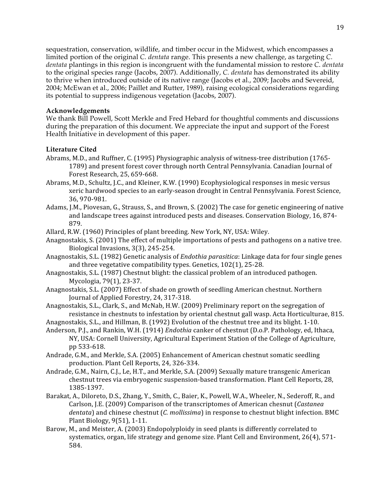sequestration, conservation, wildlife, and timber occur in the Midwest, which encompasses a limited portion of the original *C. dentata* range. This presents a new challenge, as targeting *C. dentata* plantings in this region is incongruent with the fundamental mission to restore *C. dentata* to the original species range (Jacobs, 2007). Additionally, *C. dentata* has demonstrated its ability to thrive when introduced outside of its native range (Jacobs et al., 2009; Jacobs and Severeid, 2004; McEwan et al., 2006; Paillet and Rutter, 1989), raising ecological considerations regarding its potential to suppress indigenous vegetation (Jacobs, 2007).

# **Acknowledgements**

We thank Bill Powell, Scott Merkle and Fred Hebard for thoughtful comments and discussions during the preparation of this document. We appreciate the input and support of the Forest Health Initiative in development of this paper.

# **Literature Cited**

- Abrams,
M.D.,
and
Ruffner,
C.
(1995)
Physiographic
analysis
of
witness‐tree
distribution
(1765‐ 1789)
and
present
forest
cover
through
north
Central
Pennsylvania.
Canadian
Journal
of Forest
Research,
25,
659‐668.
- Abrams,
M.D.,
Schultz,
J.C.,
and
Kleiner,
K.W.
(1990)
Ecophysiological
responses
in
mesic
versus xeric
hardwood
species
to
an
early‐season
drought
in
Central
Pennsylvania.
Forest
Science, 36,
970‐981.
- Adams, J.M., Piovesan, G., Strauss, S., and Brown, S. (2002) The case for genetic engineering of native and
landscape
trees
against
introduced
pests
and
diseases.
Conservation
Biology,
16,
874‐ 879.
- Allard,
R.W.
(1960)
Principles
of
plant
breeding.
New
York,
NY,
USA:
Wiley.
- Anagnostakis, S. (2001) The effect of multiple importations of pests and pathogens on a native tree. Biological
Invasions,
3(3),
245‐254.
- Anagnostakis, S.L. (1982) Genetic analysis of *Endothia parasitica*: Linkage data for four single genes and
three
vegetative
compatibility
types.
Genetics,
102(1),
25‐28.
- Anagnostakis,
S.L.
(1987)
Chestnut
blight:
the
classical
problem
of
an
introduced
pathogen. Mycologia,
79(1),
23‐37.
- Anagnostakis,
S.L.
(2007)
Effect
of
shade
on
growth
of
seedling
American
chestnut.
Northern Journal
of
Applied
Forestry,
24,
317‐318.
- Anagnostakis, S.L., Clark, S., and McNab, H.W. (2009) Preliminary report on the segregation of resistance in chestnuts to infestation by oriental chestnut gall wasp. Acta Horticulturae, 815.
- Anagnostakis,
S.L.,
and
Hillman,
B.
(1992)
Evolution
of
the
chestnut
tree
and
its
blight.
1‐10.
- Anderson, P.J., and Rankin, W.H. (1914) *Endothia* canker of chestnut (D.o.P. Pathology, ed, Ithaca, NY,
USA:
Cornell
University,
Agricultural
Experiment
Station
of
the
College
of
Agriculture, pp
533‐618.
- Andrade,
G.M.,
and
Merkle,
S.A.
(2005)
Enhancement
of American
chestnut
somatic
seedling production.
Plant
Cell
Reports,
24,
326‐334.
- Andrade, G.M., Nairn, C.J., Le, H.T., and Merkle, S.A. (2009) Sexually mature transgenic American chestnut
trees
via
embryogenic
suspension‐based
transformation.
Plant
Cell
Reports,
28, 1385‐1397.
- Barakat, A., Diloreto, D.S., Zhang, Y., Smith, C., Baier, K., Powell, W.A., Wheeler, N., Sederoff, R., and Carlson,
J.E.
(2009)
Comparison
of
the
transcriptomes
of
American
chesnut
(*Castanea*  dentata) and chinese chestnut (*C. mollissima*) in response to chestnut blight infection. BMC Plant
Biology,
9(51),
1‐11.
- Barow, M., and Meister, A. (2003) Endopolyploidy in seed plants is differently correlated to systematics, organ, life strategy and genome size. Plant Cell and Environment, 26(4), 571-584.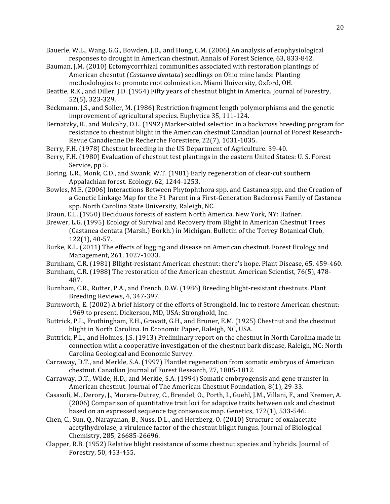Bauerle, W.L., Wang, G.G., Bowden, J.D., and Hong, C.M. (2006) An analysis of ecophysiological responses
to
drought
in
American
chestnut.
Annals
of
Forest
Science,
63,
833‐842.

- Bauman, J.M. (2010) Ectomycorrhizal communities associated with restoration plantings of American
chesntut
(*Castanea
dentata*)
seedlings
on
Ohio
mine
lands:
Planting methodologies to promote root colonization. Miami University, Oxford, OH.
- Beattie, R.K., and Diller, J.D. (1954) Fifty years of chestnut blight in America. Journal of Forestry, 52(5),
323‐329.
- Beckmann, J.S., and Soller, M. (1986) Restriction fragment length polymorphisms and the genetic improvement
of
agricultural
species.
Euphytica
35,
111‐124.
- Bernatzky, R., and Mulcahy, D.L. (1992) Marker-aided selection in a backcross breeding program for resistance to chestnut blight in the American chestnut Canadian Journal of Forest Research-Revue
Canadienne
De
Recherche
Forestiere,
22(7),
1031‐1035.
- Berry, F.H. (1978) Chestnut breeding in the US Department of Agriculture. 39-40.
- Berry, F.H. (1980) Evaluation of chestnut test plantings in the eastern United States: U. S. Forest Service,
pp
5.
- Boring, L.R., Monk, C.D., and Swank, W.T. (1981) Early regeneration of clear-cut southern Appalachian
forest.
Ecology,
62,
1244‐1253.
- Bowles,
M.E.
(2006)
Interactions
Between
Phytophthora
spp.
and
Castanea
spp.
and
the
Creation
of a Genetic Linkage Map for the F1 Parent in a First-Generation Backcross Family of Castanea spp.
North
Carolina
State
University,
Raleigh,
NC.
- Braun,
E.L.
(1950)
Deciduous
forests
of
eastern
North
America.
New
York,
NY:
Hafner.
- Brewer,
L.G.
(1995)
Ecology
of
Survival
and
Recovery
from
Blight
in
American
Chestnut
Trees (Castanea
dentata
(Marsh.)
Borkh.)
in
Michigan.
Bulletin
of
the
Torrey
Botanical
Club, 122(1),
40‐57.
- Burke,
K.L.
(2011)
The
effects
of
logging
and
disease
on
American
chestnut.
Forest
Ecology
and Management,
261,
1027‐1033.
- Burnham, C.R. (1981) Bllight-resistant American chestnut: there's hope. Plant Disease, 65, 459-460.
- Burnham, C.R. (1988) The restoration of the American chestnut. American Scientist, 76(5), 478-487.
- Burnham, C.R., Rutter, P.A., and French, D.W. (1986) Breeding blight-resistant chestnuts. Plant Breeding
Reviews,
4,
347‐397.
- Burnworth, E. (2002) A brief history of the efforts of Stronghold, Inc to restore American chestnut: 1969
to
present,
Dickerson,
MD,
USA:
Stronghold,
Inc.
- Buttrick, P.L., Frothingham, E.H., Gravatt, G.H., and Bruner, E.M. (1925) Chestnut and the chestnut blight
in
North
Carolina.
In
Economic
Paper,
Raleigh,
NC,
USA.
- Buttrick, P.L., and Holmes, J.S. (1913) Preliminary report on the chestnut in North Carolina made in connection
wiht
a
cooperative
investigation
of
the
chestnut
bark
disease,
Raleigh,
NC:
North Carolina
Geological
and
Economic
Survey.
- Carraway, D.T., and Merkle, S.A. (1997) Plantlet regeneration from somatic embryos of American chestnut.
Canadian
Journal
of
Forest
Research,
27,
1805‐1812.
- Carraway,
D.T.,
Wilde,
H.D.,
and
Merkle,
S.A.
(1994)
Somatic
embryogensis
and
gene
transfer
in American
chestnut.
Journal
of
The
American
Chestnut
Foundation,
8(1),
29‐33.
- Casasoli, M., Derory, J., Morera-Dutrey, C., Brendel, O., Porth, I., Guehl, J.M., Villani, F., and Kremer, A. (2006)
Comparison
of
quantitative
trait
loci
for
adaptive
traits
between
oak
and
chestnut based on an expressed sequence tag consensus map. Genetics, 172(1), 533-546.
- Chen, C., Sun, Q., Narayanan, B., Nuss, D.L., and Herzberg, O. (2010) Structure of oxalacetate acetylhydrolase, a virulence factor of the chestnut blight fungus. Journal of Biological Chemistry,
285,
26685‐26696.
- Clapper, R.B. (1952) Relative blight resistance of some chestnut species and hybrids. Journal of Forestry,
50,
453‐455.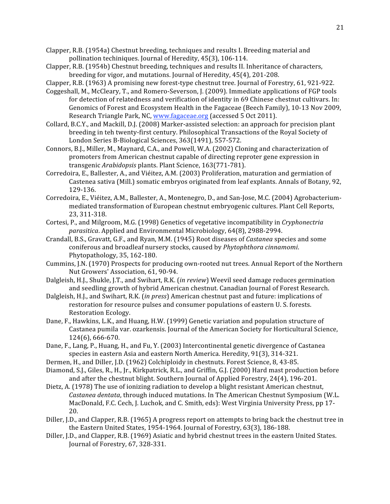Clapper, R.B. (1954a) Chestnut breeding, techniques and results I. Breeding material and pollination
techiniques.
Journal
of
Heredity,
45(3),
106‐114.

Clapper,
R.B.
(1954b)
Chestnut
breeding,
techniques
and
results
II.
Inheritance
of
characters, breeding
for
vigor,
and
mutations.
Journal
of
Heredity,
45(4),
201‐208.

Clapper, R.B. (1963) A promising new forest-type chestnut tree. Journal of Forestry, 61, 921-922.

- Coggeshall, M., McCleary, T., and Romero-Severson, J. (2009). Immediate applications of FGP tools for detection of relatedness and verification of identity in 69 Chinese chestnut cultivars. In: Genomics of Forest and Ecosystem Health in the Fagaceae (Beech Family), 10-13 Nov 2009, Research Triangle Park, NC, www.fagaceae.org (accessed 5 Oct 2011).
- Collard, B.C.Y., and Mackill, D.J. (2008) Marker-assisted selection: an approach for precision plant breeding in teh twenty-first century. Philosophical Transactions of the Royal Society of London
Series
B‐Biological
Sciences,
363(1491),
557‐572.
- Connors, B.J., Miller, M., Maynard, C.A., and Powell, W.A. (2002) Cloning and characterization of promoters
from
American
chestnut
capable
of
directing
reproter
gene
expression
in transgenic *Arabidopsis* plants.
Plant
Science,
163(771‐781).
- Corredoira, E., Ballester, A., and Viéitez, A.M. (2003) Proliferation, maturation and germiation of Castenea sativa (Mill.) somatic embryos originated from leaf explants. Annals of Botany, 92, 129‐136.
- Corredoira, E., Viéitez, A.M., Ballester, A., Montenegro, D., and San-Jose, M.C. (2004) Agrobacteriummediated
transformation
of
European
chestnut
embryogenic
cultures.
Plant
Cell
Reports, 23,
311‐318.
- Cortesi,
P.,
and
Milgroom,
M.G.
(1998)
Genetics
of
vegetative
incompatibility
in *Cryphonectria*  parasitica. Applied and Environmental Microbiology, 64(8), 2988-2994.
- Crandall, B.S., Gravatt, G.F., and Ryan, M.M. (1945) Root diseases of *Castanea* species and some coniferous
and
broadleaf
nursery
stocks,
caused
by *Phytophthora
cinnamomi*. Phytopathology,
35,
162‐180.
- Cummins,
J.N.
(1970)
Prospects
for
producing
own‐rooted
nut
trees. Annual
Report
of
the
Northern Nut
Growers'
Association,
61,
90‐94.
- Dalgleish, H.J., Shukle, J.T., and Swihart, R.K. (*in review*) Weevil seed damage reduces germination and
seedling
growth
of
hybrid
American
chestnut.
Canadian
Journal
of
Forest
Research.
- Dalgleish,
H.J.,
and
Swihart,
R.K.
(*in
press*)
American
chestnut
past
and
future:
implications
of restoration for resource pulses and consumer populations of eastern U.S. forests. Restoration
Ecology.
- Dane, F., Hawkins, L.K., and Huang, H.W. (1999) Genetic variation and population structure of Castanea pumila var. ozarkensis. Journal of the American Society for Horticultural Science, 124(6),
666‐670.
- Dane, F., Lang, P., Huang, H., and Fu, Y. (2003) Intercontinental genetic divergence of Castanea species in eastern Asia and eastern North America. Heredity, 91(3), 314-321.
- Dermen, H., and Diller, J.D. (1962) Colchiploidy in chestnuts. Forest Science, 8, 43-85.
- Diamond, S.J., Giles, R., H., Jr., Kirkpatrick, R.L., and Griffin, G.J. (2000) Hard mast production before and
after
the
chestnut
blight.
Southern
Journal
of
Applied
Forestry,
24(4),
196‐201.
- Dietz, A. (1978) The use of ionizing radiation to develop a blight resistant American chestnut, Castanea dentata, through induced mutations. In The American Chestnut Symposium (W.L. MacDonald, F.C. Cech, J. Luchok, and C. Smith, eds): West Virginia University Press, pp 17-20.
- Diller, J.D., and Clapper, R.B. (1965) A progress report on attempts to bring back the chestnut tree in the
Eastern
United
States,
1954‐1964.
Journal
of
Forestry,
63(3),
186‐188.
- Diller, J.D., and Clapper, R.B. (1969) Asiatic and hybrid chestnut trees in the eastern United States. Journal
of
Forestry,
67,
328‐331.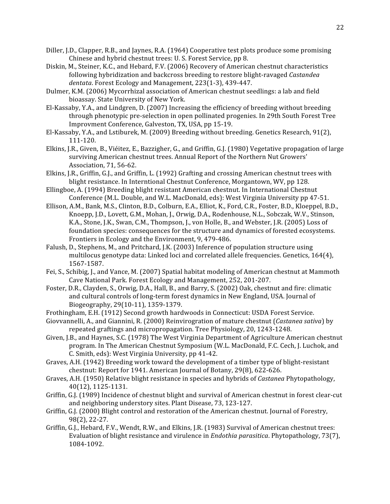- Diller, J.D., Clapper, R.B., and Jaynes, R.A. (1964) Cooperative test plots produce some promising Chinese and hybrid chestnut trees: U.S. Forest Service, pp 8.
- Diskin,
M.,
Steiner,
K.C.,
and
Hebard,
F.V.
(2006)
Recovery
of
American
chestnut
characteristics following
hybridization
and
backcross
breeding
to
restore
blight‐ravaged *Castandea*  dentata. Forest Ecology and Management, 223(1-3), 439-447.
- Dulmer,
K.M.
(2006)
Mycorrhizal
association
of
American
chestnut
seedlings:
a
lab
and
field bioassay.
State
University
of
New
York.
- El-Kassaby, Y.A., and Lindgren, D. (2007) Increasing the efficiency of breeding without breeding through phenotypic pre-selection in open pollinated progenies. In 29th South Forest Tree Improvment
Conference,
Galveston,
TX,
USA,
pp
15‐19.
- El-Kassaby, Y.A., and Lstiburek, M. (2009) Breeding without breeding. Genetics Research, 91(2), 111‐120.
- Elkins, J.R., Given, B., Viéitez, E., Bazzigher, G., and Griffin, G.J. (1980) Vegetative propagation of large surviving American chestnut trees. Annual Report of the Northern Nut Growers' Association,
71,
56‐62.
- Elkins, J.R., Griffin, G.J., and Griffin, L. (1992) Grafting and crossing American chestnut trees with blight resistance. In Interntional Chestnut Conference, Morgantown, WV, pp 128.
- Ellingboe, A. (1994) Breeding blight resistant American chestnut. In International Chestnut Conference
(M.L.
Double,
and
W.L.
MacDonald,
eds):
West
Virginia
University
pp
47‐51.
- Ellison, A.M., Bank, M.S., Clinton, B.D., Colburn, E.A., Elliot, K., Ford, C.R., Foster, B.D., Kloeppel, B.D., Knoepp, J.D., Lovett, G.M., Mohan, J., Orwig, D.A., Rodenhouse, N.L., Sobczak, W.V., Stinson, K.A., Stone, J.K., Swan, C.M., Thompson, J., von Holle, B., and Webster, J.R. (2005) Loss of foundation species: consequences for the structure and dynamics of forested ecosystems. Frontiers
in
Ecology
and
the
Environment,
9,
479‐486.
- Falush, D., Stephens, M., and Pritchard, J.K. (2003) Inference of population structure using multilocus
genotype
data:
Linked
loci
and
correlated
allele
frequencies.
Genetics,
164(4), 1567‐1587.
- Fei, S., Schibig, J., and Vance, M. (2007) Spatial habitat modeling of American chestnut at Mammoth Cave
National
Park.
Forest
Ecology
and
Management,
252,
201‐207.
- Foster, D.R., Clayden, S., Orwig, D.A., Hall, B., and Barry, S. (2002) Oak, chestnut and fire: climatic and cultural controls of long-term forest dynamics in New England, USA. Journal of Biogeography,
29(10‐11),
1359‐1379.
- Frothingham,
E.H.
(1912)
Second
growth
hardwoods
in
Connecticut:
USDA
Forest
Service.
- Giovvannelli, A., and Giannini, R. (2000) Reinvirogration of mature chestnut (*Castanea sativa*) by repeated
graftings
and
micropropagation.
Tree
Physiology,
20,
1243‐1248.
- Given, J.B., and Haynes, S.C. (1978) The West Virginia Department of Agriculture American chestnut program. In The American Chestnut Symposium (W.L. MacDonald, F.C. Cech, J. Luchok, and C.
Smith,
eds):
West
Virginia
University,
pp
41‐42.
- Graves, A.H. (1942) Breeding work toward the development of a timber type of blight-resistant chestnut:
Report
for
1941.
American
Journal
of
Botany,
29(8),
622‐626.
- Graves,
A.H.
(1950)
Relative
blight
resistance
in
species
and
hybrids
of *Castanea* Phytopathology, 40(12),
1125‐1131.
- Griffin, G.J. (1989) Incidence of chestnut blight and survival of American chestnut in forest clear-cut and
neighboring
understory
sites.
Plant
Disease,
73,
123‐127.
- Griffin, G.J. (2000) Blight control and restoration of the American chestnut. Journal of Forestry, 98(2),
22‐27.
- Griffin, G.J., Hebard, F.V., Wendt, R.W., and Elkins, J.R. (1983) Survival of American chestnut trees: Evaluation
of
blight
resistance
and
virulence
in *Endothia
parasitica*.
Phytopathology,
73(7), 1084‐1092.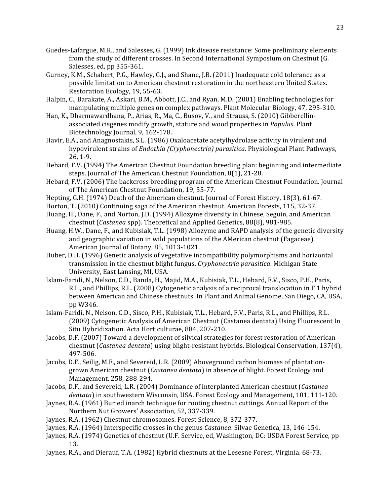- Guedes-Lafargue, M.R., and Salesses, G. (1999) Ink disease resistance: Some preliminary elements from the study of different crosses. In Second International Symposium on Chestnut (G. Salesses,
ed,
pp
355‐361.
- Gurney, K.M., Schabert, P.G., Hawley, G.J., and Shane, J.B. (2011) Inadequate cold tolerance as a possible limitation to American chestnut restoration in the northeastern United States. Restoration
Ecology,
19,
55‐63.
- Halpin, C., Barakate, A., Askari, B.M., Abbott, J.C., and Ryan, M.D. (2001) Enabling technologies for manipulating
multiple
genes
on
complex
pathways.
Plant
Molecular
Biology,
47,
295‐310.
- Han, K., Dharmawardhana, P., Arias, R., Ma, C., Busov, V., and Strauss, S. (2010) Gibberellinassociated
cisgenes
modify
growth,
stature
and
wood
properties
in *Populus*.
Plant Biotechnology
Journal,
9,
162‐178.
- Havir, E.A., and Anagnostakis, S.L. (1986) Oxaloacetate acetylhydrolase activity in virulent and hypovirulent
strains
of *Endothia
(Cryphonectria)
parasitica*.
Physiological
Plant
Pathways, 26,
1‐9.
- Hebard,
F.V.
(1994)
The
American
Chestnut
Foundation
breeding
plan:
beginning
and
intermediate steps.
Journal
of
The
American
Chestnut
Foundation,
8(1),
21‐28.
- Hebard, F.V. (2006) The backcross breeding program of the American Chestnut Foundation. Journal of
The
American
Chestnut
Foundation,
19,
55‐77.
- Hepting, G.H. (1974) Death of the American chestnut. Journal of Forest History, 18(3), 61-67.
- Horton, T. (2010) Continuing saga of the American chestnut. American Forests, 115, 32-37.
- Huang, H., Dane, F., and Norton, J.D. (1994) Allozyme diversity in Chinese, Seguin, and American chestnut
(*Castanea* spp).
Theoretical
and
Applied
Genetics,
88(8),
981‐985.
- Huang, H.W., Dane, F., and Kubisiak, T.L. (1998) Allozyme and RAPD analysis of the genetic diversity and
geographic
variation
in
wild
populations
of
the
AMerican
chestnut
(Fagaceae). American
Journal
of
Botany,
85,
1013‐1021.
- Huber, D.H. (1996) Genetic analysis of vegetative incompatibility polymorphisms and horizontal transmission in the chestnut blight fungus, Cryphonectria parasitica. Michigan State University,
East
Lansing,
MI,
USA.
- Islam-Faridi, N., Nelson, C.D., Banda, H., Majid, M.A., Kubisiak, T.L., Hebard, F.V., Sisco, P.H., Paris, R.L., and Phillips, R.L. (2008) Cytogenetic analysis of a reciprocal translocation in F 1 hybrid between
American
and
Chinese
chestnuts.
In
Plant
and
Animal
Genome,
San
Diego,
CA,
USA, pp
W346.
- Islam-Faridi, N., Nelson, C.D., Sisco, P.H., Kubisiak, T.L., Hebard, F.V., Paris, R.L., and Phillips, R.L. (2009)
Cytogenetic
Analysis
of
American
Chestnut
(Castanea
dentata)
Using
Fluorescent
In Situ
Hybridization.
Acta
Horticulturae,
884,
207‐210.
- Jacobs,
D.F.
(2007)
Toward
a
development
of
silvical
strategies
for
forest
restoration
of
American chestnut (Castanea dentata) using blight-resistant hybrids. Biological Conservation, 137(4), 497‐506.
- Jacobs, D.F., Seilig, M.F., and Severeid, L.R. (2009) Aboveground carbon biomass of plantationgrown
American
chestnut
(*Castanea
dentata*)
in
absence
of
blight.
Forest
Ecology
and Management,
258,
288‐294.
- Jacobs,
D.F.,
and
Severeid,
L.R.
(2004)
Dominance
of
interplanted
American
chestnut
(*Castanea*  dentata) in southwestern Wisconsin, USA. Forest Ecology and Management, 101, 111-120.
- Jaynes,
R.A.
(1961)
Buried
inarch
technique
for
rooting
chestnut
cuttings.
Annual
Report
of
the Northern
Nut
Growers'
Association,
52,
337‐339.
- Jaynes, R.A. (1962) Chestnut chromosomes. Forest Science, 8, 372-377.
- Jaynes,
R.A.
(1964)
Interspecific
crosses
in
the
genus *Castanea*.
Silvae
Genetica,
13,
146‐154.
- Jaynes, R.A. (1974) Genetics of chestnut (U.F. Service, ed, Washington, DC: USDA Forest Service, pp 13.
- Jaynes, R.A., and Dierauf, T.A. (1982) Hybrid chestnuts at the Lesesne Forest, Virginia. 68-73.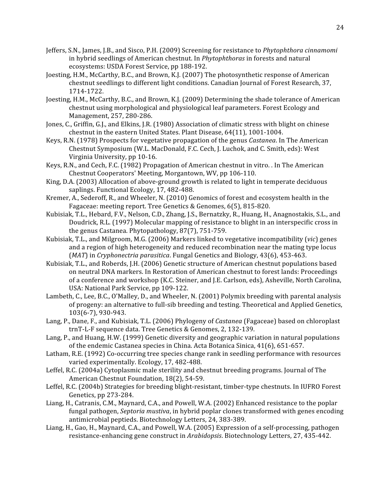- Jeffers,
S.N.,
James,
J.B.,
and
Sisco,
P.H.
(2009)
Screening
for
resistance
to *Phytophthora
cinnamomi*  in
hybrid
seedlings
of
American
chestnut.
In *Phytophthoras* in
forests
and
natural ecosystems:
USDA
Forest
Service,
pp
188‐192.
- Joesting, H.M., McCarthy, B.C., and Brown, K.J. (2007) The photosynthetic response of American chestnut
seedlings
to
different
light
conditions.
Canadian
Journal
of
Forest
Research,
37, 1714‐1722.
- Joesting, H.M., McCarthy, B.C., and Brown, K.J. (2009) Determining the shade tolerance of American chestnut
using
morphological
and
physiological
leaf
parameters.
Forest
Ecology
and Management,
257,
280‐286.
- Jones, C., Griffin, G.J., and Elkins, J.R. (1980) Association of climatic stress with blight on chinese chestnut
in
the
eastern
United
States.
Plant
Disease,
64(11),
1001‐1004.
- Keys,
R.N.
(1978)
Prospects
for
vegetative
propagation
of
the
genus *Castanea*.
In
The
American Chestnut
Symposium
(W.L.
MacDonald,
F.C.
Cech,
J.
Luchok,
and
C.
Smith,
eds):
West Virginia
University,
pp
10‐16.
- Keys, R.N., and Cech, F.C. (1982) Propagation of American chestnut in vitro. In The American Chestnut
Cooperators'
Meeting,
Morgantown,
WV,
pp
106‐110.
- King, D.A. (2003) Allocation of above-ground growth is related to light in temperate deciduous saplings.
Functional
Ecology,
17,
482‐488.
- Kremer, A., Sederoff, R., and Wheeler, N. (2010) Genomics of forest and ecosystem health in the Fagaceae: meeting report. Tree Genetics & Genomes, 6(5), 815-820.
- Kubisiak, T.L., Hebard, F.V., Nelson, C.D., Zhang, J.S., Bernatzky, R., Huang, H., Anagnostakis, S.L., and Doudrick, R.L. (1997) Molecular mapping of resistance to blight in an interspecific cross in the
genus
Castanea.
Phytopathology,
87(7),
751‐759.
- Kubisiak,
T.L.,
and
Milgroom,
M.G.
(2006)
Markers
linked to
vegetative
incompatibility
(*vic*)
genes and a region of high heterogeneity and reduced recombination near the mating type locus (*MAT*)
in *Cryphonectria
parasitica*.
Fungal
Genetics
and
Biology,
43(6),
453‐463.
- Kubisiak, T.L., and Roberds, J.H. (2006) Genetic structure of American chestnut populations based on
neutral
DNA
markers.
In
Restoration
of
American
chestnut
to
forest
lands:
Proceedings of
a
conference
and
workshop
(K.C.
Steiner,
and
J.E.
Carlson,
eds),
Asheville,
North
Carolina, USA:
National
Park
Service,
pp
109‐122.
- Lambeth, C., Lee, B.C., O'Malley, D., and Wheeler, N. (2001) Polymix breeding with parental analysis of progeny: an alternative to full-sib breeding and testing. Theoretical and Applied Genetics, 103(6‐7),
930‐943.
- Lang, P., Dane, F., and Kubisiak, T.L. (2006) Phylogeny of *Castanea* (Fagaceae) based on chloroplast trnT-L-F sequence data. Tree Genetics & Genomes, 2, 132-139.
- Lang,
P.,
and
Huang,
H.W.
(1999)
Genetic
diversity
and
geographic
variation
in
natural
populations of the endemic Castanea species in China. Acta Botanica Sinica, 41(6), 651-657.
- Latham, R.E. (1992) Co-occurring tree species change rank in seedling performance with resources varied
experimentally.
Ecology,
17,
482‐488.
- Leffel, R.C. (2004a) Cytoplasmic male sterility and chestnut breeding programs. Journal of The American
Chestnut
Foundation,
18(2),
54‐59.
- Leffel, R.C. (2004b) Strategies for breeding blight-resistant, timber-type chestnuts. In IUFRO Forest Genetics,
pp
273‐284.
- Liang, H., Catranis, C.M., Maynard, C.A., and Powell, W.A. (2002) Enhanced resistance to the poplar fungal pathogen, *Septoria mustiva*, in hybrid poplar clones transformed with genes encoding antimicrobial
peptieds.
Biotechnology
Letters,
24,
383‐389.
- Liang, H., Gao, H., Maynard, C.A., and Powell, W.A. (2005) Expression of a self-processing, pathogen resistance-enhancing gene construct in Arabidopsis. Biotechnology Letters, 27, 435-442.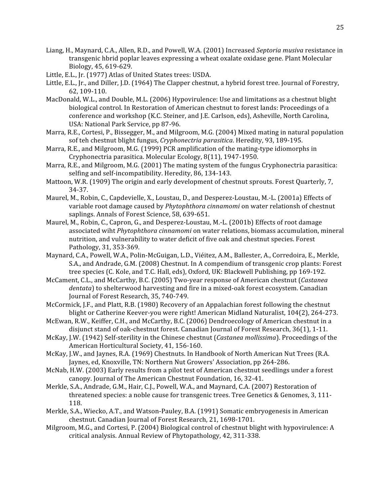- Liang,
H.,
Maynard,
C.A.,
Allen,
R.D.,
and
Powell,
W.A.
(2001)
Increased *Septoria
musiva* resistance
in transgenic
hbrid
poplar
leaves
expressing
a
wheat
oxalate
oxidase
gene.
Plant
Molecular Biology,
45,
619‐629.
- Little,
E.L.,
Jr.
(1977)
Atlas
of
United
States
trees:
USDA.
- Little, E.L., Jr., and Diller, J.D. (1964) The Clapper chestnut, a hybrid forest tree. Journal of Forestry, 62,
109‐110.
- MacDonald, W.L., and Double, M.L. (2006) Hypovirulence: Use and limitations as a chestnut blight biological control. In Restoration of American chestnut to forest lands: Proceedings of a conference
and
workshop
(K.C.
Steiner,
and
J.E.
Carlson,
eds),
Asheville,
North
Carolina, USA:
National
Park
Service,
pp
87‐96.
- Marra, R.E., Cortesi, P., Bissegger, M., and Milgroom, M.G. (2004) Mixed mating in natural population sof
teh
chestnut
blight
fungus, *Cryphonectria
parasitica*.
Heredity,
93,
189‐195.
- Marra, R.E., and Milgroom, M.G. (1999) PCR amplification of the mating-type idiomorphs in Cryphonectria
parasitica.
Molecular
Ecology,
8(11),
1947‐1950.
- Marra, R.E., and Milgroom, M.G. (2001) The mating system of the fungus Cryphonectria parasitica: selfing and self-incompatibility. Heredity, 86, 134-143.
- Mattoon, W.R. (1909) The origin and early development of chestnut sprouts. Forest Quarterly, 7, 34‐37.
- Maurel, M., Robin, C., Capdevielle, X., Loustau, D., and Desperez-Loustau, M.-L. (2001a) Effects of variable
root
damage
caused
by *Phytophthora
cinnamomi* on
water
relationsh
of
chestnut saplings.
Annals
of
Forest
Science,
58,
639‐651.
- Maurel, M., Robin, C., Capron, G., and Desperez-Loustau, M.-L. (2001b) Effects of root damage associated
wiht *Phytophthora
cinnamomi* on
water
relations,
biomass
accumulation,
mineral nutrition,
and
vulnerability
to
water
deficit
of
five
oak
and
chestnut
species.
Forest Pathology,
31,
353‐369.
- Maynard, C.A., Powell, W.A., Polin-McGuigan, L.D., Viéitez, A.M., Ballester, A., Corredoira, E., Merkle, S.A., and Andrade, G.M. (2008) Chestnut. In A compendium of transgenic crop plants: Forest tree species (C. Kole, and T.C. Hall, eds), Oxford, UK: Blackwell Publishing, pp 169-192.
- McCament, C.L., and McCarthy, B.C. (2005) Two-year response of American chestnut (Castanea dentata) to shelterwood harvesting and fire in a mixed-oak forest ecosystem. Canadian Journal
of
Forest
Research,
35,
740‐749.
- McCormick, J.F., and Platt, R.B. (1980) Recovery of an Appalachian forest following the chestnut blight or Catherine Keever-you were right! American Midland Naturalist, 104(2), 264-273.
- McEwan, R.W., Keiffer, C.H., and McCarthy, B.C. (2006) Dendroecology of American chestnut in a disjunct stand of oak-chestnut forest. Canadian Journal of Forest Research, 36(1), 1-11.
- McKay, J.W. (1942) Self-sterility in the Chinese chestnut (Castanea mollissima). Proceedings of the American
Horticultural
Society,
41,
156‐160.
- McKay, J.W., and Jaynes, R.A. (1969) Chestnuts. In Handbook of North American Nut Trees (R.A. Jaynes,
ed,
Knoxville,
TN:
Northern
Nut
Growers'
Association,
pp
264‐286.
- McNab,
H.W.
(2003)
Early
results
from
a
pilot
test
of
American
chestnut
seedlings
under
a
forest canopy.
Journal
of
The
American
Chestnut
Foundation,
16,
32‐41.
- Merkle, S.A., Andrade, G.M., Hair, C.J., Powell, W.A., and Maynard, C.A. (2007) Restoration of threatened species: a noble cause for transgenic trees. Tree Genetics & Genomes, 3, 111-118.
- Merkle, S.A., Wiecko, A.T., and Watson-Pauley, B.A. (1991) Somatic embryogenesis in American chestnut.
Canadian
Journal
of
Forest
Research,
21,
1698‐1701.
- Milgroom, M.G., and Cortesi, P. (2004) Biological control of chestnut blight with hypovirulence: A critical
analysis.
Annual
Review
of
Phytopathology,
42,
311‐338.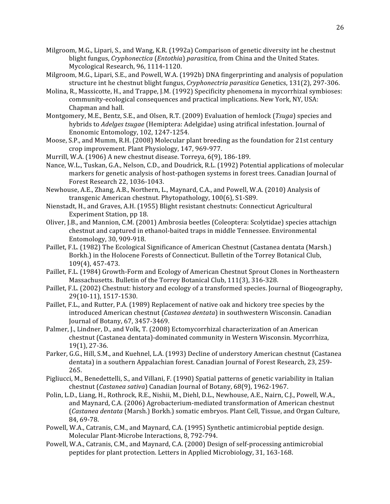- Milgroom, M.G., Lipari, S., and Wang, K.R. (1992a) Comparison of genetic diversity int he chestnut blight
fungus, *Cryphonectica* (*Entothia*) *parasitica,* from
China
and
the
United
States. Mycological
Research,
96,
1114‐1120.
- Milgroom, M.G., Lipari, S.E., and Powell, W.A. (1992b) DNA fingerprinting and analysis of population structure int he chestnut blight fungus, *Cryphonectria parasitica* Genetics, 131(2), 297-306.
- Molina, R., Massicotte, H., and Trappe, J.M. (1992) Specificity phenomena in mycorrhizal symbioses: community‐ecological
consequences
and
practical
implications.
New
York,
NY,
USA: Chapman
and
hall.
- Montgomery, M.E., Bentz, S.E., and Olsen, R.T. (2009) Evaluation of hemlock (*Tsuga*) species and hybrids to *Adelges* tsugae (Hemiptera: Adelgidae) using atrifical infestation. Journal of Enonomic
Entomology,
102,
1247‐1254.
- Moose, S.P., and Mumm, R.H. (2008) Molecular plant breeding as the foundation for 21st century crop
improvement.
Plant
Physiology,
147,
969‐977.
- Murrill, W.A.
(1906)
A
new
chestnut
disease.
Torreya,
6(9),
186‐189.
- Nance, W.L., Tuskan, G.A., Nelson, C.D., and Doudrick, R.L. (1992) Potential applications of molecular markers for genetic analysis of host-pathogen systems in forest trees. Canadian Journal of Forest
Research
22,
1036‐1043.
- Newhouse, A.E., Zhang, A.B., Northern, L., Maynard, C.A., and Powell, W.A. (2010) Analysis of transgenic
American
chestnut.
Phytopathology,
100(6),
S1‐S89.
- Nienstadt,
H.,
and
Graves,
A.H.
(1955)
Blight
resistant
chestnuts:
Connecticut
Agricultural Experiment
Station,
pp
18.
- Oliver, J.B., and Mannion, C.M. (2001) Ambrosia beetles (Coleoptera: Scolytidae) species attachign chestnut
and
captured
in
ethanol‐baited
traps
in
middle
Tennessee.
Environmental Entomology,
30,
909‐918.
- Paillet, F.L. (1982) The Ecological Significance of American Chestnut (Castanea dentata (Marsh.) Borkh.) in the Holocene Forests of Connecticut. Bulletin of the Torrey Botanical Club, 109(4),
457‐473.
- Paillet, F.L. (1984) Growth-Form and Ecology of American Chestnut Sprout Clones in Northeastern Massachusetts. Bulletin of the Torrey Botanical Club, 111(3), 316-328.
- Paillet, F.L. (2002) Chestnut: history and ecology of a transformed species. Journal of Biogeography, 29(10‐11),
1517‐1530.
- Paillet, F.L., and Rutter, P.A. (1989) Replacement of native oak and hickory tree species by the introduced American chestnut (*Castanea dentata*) in southwestern Wisconsin. Canadian Journal
of
Botany,
67,
3457‐3469.
- Palmer, J., Lindner, D., and Volk, T. (2008) Ectomycorrhizal characterization of an American chestnut
(Castanea
dentata)‐dominated
community
in
Western
Wisconsin.
Mycorrhiza, 19(1),
27‐36.
- Parker, G.G., Hill, S.M., and Kuehnel, L.A. (1993) Decline of understory American chestnut (Castanea dentata) in a southern Appalachian forest. Canadian Journal of Forest Research, 23, 259-265.
- Pigliucci, M., Benedettelli, S., and Villani, F. (1990) Spatial patterns of genetic variability in Italian chestnut
(*Castanea
sativa*)
Canadian
Journal
of
Botany,
68(9),
1962‐1967.
- Polin, L.D., Liang, H., Rothrock, R.E., Nishii, M., Diehl, D.L., Newhouse, A.E., Nairn, C.J., Powell, W.A., and
Maynard,
C.A.
(2006)
Agrobacterium‐mediated
transformation
of
American
chestnut (Castanea dentata (Marsh.) Borkh.) somatic embryos. Plant Cell, Tissue, and Organ Culture, 84,
69‐78.
- Powell, W.A., Catranis, C.M., and Maynard, C.A. (1995) Synthetic antimicrobial peptide design. Molecular
Plant‐Microbe
Interactions,
8,
792‐794.
- Powell, W.A., Catranis, C.M., and Maynard, C.A. (2000) Design of self-processing antimicrobial peptides
for
plant
protection.
Letters
in
Applied
Microbiology,
31,
163‐168.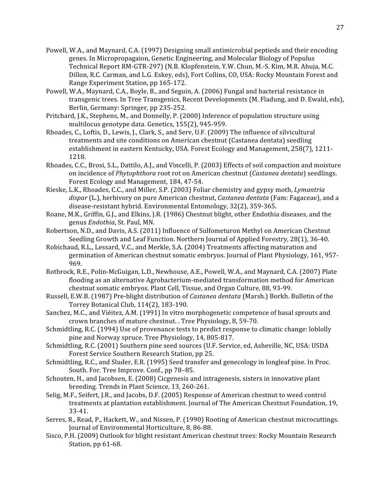- Powell, W.A., and Maynard, C.A. (1997) Designing small antimicrobial peptieds and their encoding genes. In Micropropagaion, Genetic Engineering, and Molecular Biology of Populus Technical Report RM-GTR-297) (N.B. Klopfenstein, Y.W. Chun, M.-S. Kim, M.R. Ahuja, M.C. Dillon, R.C. Carman, and L.G. Eskey, eds), Fort Collins, CO, USA: Rocky Mountain Forest and Range
Experiment
Station,
pp
165‐172.
- Powell, W.A., Maynard, C.A., Boyle, B., and Seguin, A. (2006) Fungal and bacterial resistance in transgenic trees. In Tree Transgenics, Recent Developments (M. Fladung, and D. Ewald, eds), Berlin,
Germany:
Springer,
pp
235‐252.
- Pritchard, J.K., Stephens, M., and Donnelly, P. (2000) Inference of population structure using multilocus
genotype
data.
Genetics,
155(2),
945‐959.
- Rhoades, C., Loftis, D., Lewis, J., Clark, S., and Serv, U.F. (2009) The influence of silvicultural treatments
and
site
conditions
on
American
chestnut
(Castanea dentata)
seedling establishment in eastern Kentucky, USA. Forest Ecology and Management, 258(7), 1211-1218.
- Rhoades, C.C., Brosi, S.L., Dattilo, A.J., and Vincelli, P. (2003) Effects of soil compaction and moisture on
incidence
of *Phytophthora* root
rot
on American
chestnut
(*Castanea
dentata*)
seedlings. Forest
Ecology
and
Management,
184,
47‐54.
- Rieske,
L.K.,
Rhoades,
C.C.,
and
Miller,
S.P.
(2003)
Foliar
chemistry
and
gypsy
moth, *Lymantria*  dispar (L.), herbivory on pure American chestnut, *Castanea dentata* (Fam: Fagaceae), and a disease‐resistant
hybrid.
Environmental
Entomology,
32(2),
359‐365.
- Roane, M.K., Griffin, G.J., and Elkins, J.R. (1986) Chestnut blight, other Endothia diseases, and the genus *Endothia*,
St.
Paul,
MN.
- Robertson,
N.D.,
and
Davis,
A.S.
(2011)
Influence
of
Sulfometuron
Methyl
on
American
Chestnut Seedling Growth and Leaf Function. Northern Journal of Applied Forestry, 28(1), 36-40.
- Robichaud, R.L., Lessard, V.C., and Merkle, S.A. (2004) Treatments affecting maturation and germination of American chestnut somatic embryos. Journal of Plant Physiology, 161, 957-969.
- Rothrock, R.E., Polin-McGuigan, L.D., Newhouse, A.E., Powell, W.A., and Maynard, C.A. (2007) Plate flooding as an alternative Agrobacterium-mediated transformation method for American chestnut
somatic
embryos.
Plant
Cell,
Tissue,
and
Organ
Culture,
88,
93‐99.
- Russell, E.W.B. (1987) Pre-blight distribution of *Castanea dentata* (Marsh.) Borkh. Bulletin of the Torrey
Botanical
Club,
114(2),
183‐190.
- Sanchez, M.C., and Viéitez, A.M. (1991) In vitro morphogenetic competence of basal sprouts and crown
branches
of
mature
chestnut.
.
Tree
Physiology,
8,
59‐70.
- Schmidtling, R.C. (1994) Use of provenance tests to predict response to climatic change: loblolly pine
and
Norway
spruce.
Tree
Physiology,
14,
805‐817.
- Schmidtling,
R.C.
(2001)
Southern
pine
seed
sources
(U.F.
Service,
ed,
Asheville,
NC,
USA:
USDA Forest
Service
Southern
Research
Station,
pp
25.
- Schmidtling, R.C., and Sluder, E.R. (1995) Seed transfer and genecology in longleaf pine. In Proc. South.
For.
Tree
Improve.
Conf.,
pp
78–85.
- Schouten,
H.,
and
Jacobsen,
E.
(2008)
Cicgenesis
and
intragenesis,
sisters
in
innovative
plant breeding.
Trends
in
Plant
Science,
13,
260‐261.
- Selig,
M.F.,
Seifert,
J.R.,
and
Jacobs,
D.F.
(2005)
Response
of American
chestnut
to
weed
control treatments at plantation establishment. Journal of The American Chestnut Foundation, 19, 33‐41.
- Serres, R., Read, P., Hackett, W., and Nissen, P. (1990) Rooting of American chestnut microcuttings. Journal
of
Environmental Horticulture,
8,
86‐88.
- Sisco,
P.H.
(2009)
Outlook
for
blight
resistant
American
chestnut
trees:
Rocky
Mountain
Research Station,
pp
61‐68.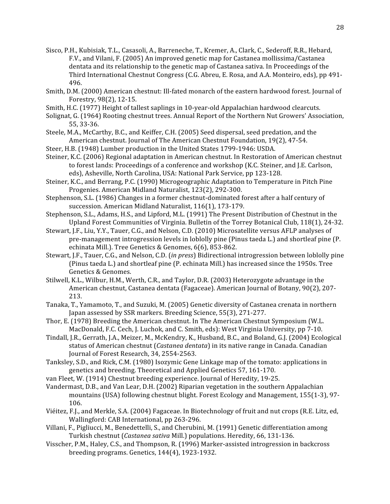- Sisco, P.H., Kubisiak, T.L., Casasoli, A., Barreneche, T., Kremer, A., Clark, C., Sederoff, R.R., Hebard, F.V.,
and Vilani,
F.
(2005)
An
improved
genetic
map
for
Castanea
mollissima/Castanea dentata and its relationship to the genetic map of Castanea sativa. In Proceedings of the Third International Chestnut Congress (C.G. Abreu, E. Rosa, and A.A. Monteiro, eds), pp 491-496.
- Smith, D.M. (2000) American chestnut: Ill-fated monarch of the eastern hardwood forest. Journal of Forestry,
98(2),
12‐15.
- Smith, H.C. (1977) Height of tallest saplings in 10-year-old Appalachian hardwood clearcuts.
- Solignat, G. (1964) Rooting chestnut trees. Annual Report of the Northern Nut Growers' Association, 55,
33‐36.
- Steele, M.A., McCarthy, B.C., and Keiffer, C.H. (2005) Seed dispersal, seed predation, and the American
chestnut.
Journal
of
The
American
Chestnut
Foundation,
19(2),
47‐54.
- Steer, H.B. (1948) Lumber production in the United States 1799-1946: USDA.
- Steiner,
K.C.
(2006)
Regional
adaptation
in
American
chestnut.
In
Restoration
of
American
chestnut to forest lands: Proceedings of a conference and workshop (K.C. Steiner, and J.E. Carlson, eds),
Asheville,
North
Carolina,
USA:
National
Park
Service,
pp
123‐128.
- Steiner,
K.C.,
and
Berrang,
P.C.
(1990)
Microgeographic
Adaptation
to
Temperature
in
Pitch
Pine Progenies.
American
Midland
Naturalist,
123(2),
292‐300.
- Stephenson, S.L. (1986) Changes in a former chestnut-dominated forest after a half century of succession.
American
Midland
Naturalist,
116(1),
173‐179.
- Stephenson, S.L., Adams, H.S., and Lipford, M.L. (1991) The Present Distribution of Chestnut in the Upland Forest Communities of Virginia. Bulletin of the Torrey Botanical Club, 118(1), 24-32.
- Stewart, J.F., Liu, Y.Y., Tauer, C.G., and Nelson, C.D. (2010) Microsatellite versus AFLP analyses of pre-management introgression levels in loblolly pine (Pinus taeda L.) and shortleaf pine (P. echinata
Mill.).
Tree
Genetics
&
Genomes,
6(6),
853‐862.
- Stewart, J.F., Tauer, C.G., and Nelson, C.D. (*in press*) Bidirectional introgression between loblolly pine (Pinus
taeda
L.)
and
shortleaf
pine
(P.
echinata
Mill.)
has
increased
since
the
1950s.
Tree Genetics
&
Genomes.
- Stilwell, K.L., Wilbur, H.M., Werth, C.R., and Taylor, D.R. (2003) Heterozygote advantage in the American chestnut, Castanea dentata (Fagaceae). American Journal of Botany, 90(2), 207-213.
- Tanaka,
T.,
Yamamoto,
T.,
and
Suzuki,
M.
(2005)
Genetic
diversity
of
Castanea
crenata
in
northern Japan
assessed
by
SSR
markers.
Breeding
Science,
55(3),
271‐277.
- Thor,
E.
(1978)
Breeding
the
American
chestnut.
In
The
American
Chestnut
Symposium
(W.L. MacDonald, F.C. Cech, J. Luchok, and C. Smith, eds): West Virginia University, pp 7-10.
- Tindall, J.R., Gerrath, J.A., Meizer, M., McKendry, K., Husband, B.C., and Boland, G.J. (2004) Ecological status of American chestnut (Castanea dentata) in its native range in Canada. Canadian Journal
of
Forest
Research,
34,
2554‐2563.
- Tanksley,
S.D.,
and
Rick,
C.M.
(1980) Isozymic
Gene
Linkage
map
of
the
tomato:
applications
in genetics
and
breeding.
Theoretical
and
Applied
Genetics
57,
161‐170.
- van
Fleet,
W.
(1914)
Chestnut
breeding
experience.
Journal
of
Heredity,
19‐25.
- Vandermast, D.B., and Van Lear, D.H. (2002) Riparian vegetation in the southern Appalachian mountains (USA) following chestnut blight. Forest Ecology and Management, 155(1-3), 97-106.
- Viéitez, F.J., and Merkle, S.A. (2004) Fagaceae. In Biotechnology of fruit and nut crops (R.E. Litz, ed. Wallingford:
CAB
International,
pp
263‐296.
- Villani, F., Pigliucci, M., Benedettelli, S., and Cherubini, M. (1991) Genetic differentiation among Turkish
chestnut
(*Castanea
sativa* Mill.)
populations.
Heredity,
66,
131‐136.
- Visscher, P.M., Haley, C.S., and Thompson, R. (1996) Marker-assisted introgression in backcross breeding
programs.
Genetics,
144(4),
1923‐1932.